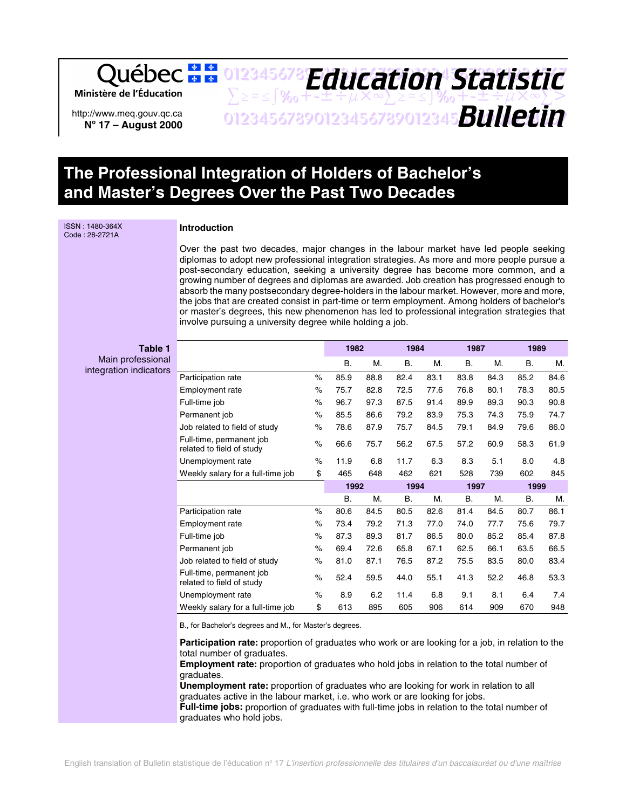Ministère de l'Éducation

http://www.meq.gouv.qc.ca **No 17 – August 2000**

## 012345678 **Friday Static fir**  $\sum z \approx \int \gamma_0 + t + \pm \frac{1}{2} \mu \times \infty$  $\sum z \approx \frac{1}{2} \gamma_0 + t + \pm \frac{1}{2} \mu \times \infty$  $\sum >$ 01234567890123456789012345678901234567 *Bulletin Education Statistic*

# **The Professional Integration of Holders of Bachelor's and Master's Degrees Over the Past Two Decades**

ISSN : 1480-364X Code : 28-2721A

### **Introduction**

Over the past two decades, major changes in the labour market have led people seeking diplomas to adopt new professional integration strategies. As more and more people pursue a post-secondary education, seeking a university degree has become more common, and a growing number of degrees and diplomas are awarded. Job creation has progressed enough to absorb the many postsecondary degree-holders in the labour market. However, more and more, the jobs that are created consist in part-time or term employment. Among holders of bachelor's or master's degrees, this new phenomenon has led to professional integration strategies that involve pursuing a university degree while holding a job.

#### **Table 1** Main professional integration indicators

|                                                       |      | 1982 |      | 1984 |      | 1987 |      | 1989      |      |
|-------------------------------------------------------|------|------|------|------|------|------|------|-----------|------|
|                                                       |      | В.   | М.   | В.   | М.   | В.   | М.   | <b>B.</b> | М.   |
| Participation rate                                    | $\%$ | 85.9 | 88.8 | 82.4 | 83.1 | 83.8 | 84.3 | 85.2      | 84.6 |
| <b>Employment rate</b>                                | $\%$ | 75.7 | 82.8 | 72.5 | 77.6 | 76.8 | 80.1 | 78.3      | 80.5 |
| Full-time job                                         | $\%$ | 96.7 | 97.3 | 87.5 | 91.4 | 89.9 | 89.3 | 90.3      | 90.8 |
| Permanent job                                         | $\%$ | 85.5 | 86.6 | 79.2 | 83.9 | 75.3 | 74.3 | 75.9      | 74.7 |
| Job related to field of study                         | $\%$ | 78.6 | 87.9 | 75.7 | 84.5 | 79.1 | 84.9 | 79.6      | 86.0 |
| Full-time, permanent job<br>related to field of study | $\%$ | 66.6 | 75.7 | 56.2 | 67.5 | 57.2 | 60.9 | 58.3      | 61.9 |
| Unemployment rate                                     | %    | 11.9 | 6.8  | 11.7 | 6.3  | 8.3  | 5.1  | 8.0       | 4.8  |
| Weekly salary for a full-time job                     | \$   | 465  | 648  | 462  | 621  | 528  | 739  | 602       | 845  |
|                                                       |      |      | 1992 |      |      |      |      |           |      |
|                                                       |      |      |      | 1994 |      | 1997 |      | 1999      |      |
|                                                       |      | В.   | М.   | В.   | М.   | Β.   | М.   | <b>B.</b> | М.   |
| Participation rate                                    | $\%$ | 80.6 | 84.5 | 80.5 | 82.6 | 81.4 | 84.5 | 80.7      | 86.1 |
| <b>Employment rate</b>                                | %    | 73.4 | 79.2 | 71.3 | 77.0 | 74.0 | 77.7 | 75.6      | 79.7 |
| Full-time job                                         | $\%$ | 87.3 | 89.3 | 81.7 | 86.5 | 80.0 | 85.2 | 85.4      | 87.8 |
| Permanent job                                         | $\%$ | 69.4 | 72.6 | 65.8 | 67.1 | 62.5 | 66.1 | 63.5      | 66.5 |
| Job related to field of study                         | $\%$ | 81.0 | 87.1 | 76.5 | 87.2 | 75.5 | 83.5 | 80.0      | 83.4 |
| Full-time, permanent job<br>related to field of study | $\%$ | 52.4 | 59.5 | 44.0 | 55.1 | 41.3 | 52.2 | 46.8      | 53.3 |
| Unemployment rate                                     | $\%$ | 8.9  | 6.2  | 11.4 | 6.8  | 9.1  | 8.1  | 6.4       | 7.4  |

B., for Bachelor's degrees and M., for Master's degrees.

**Participation rate:** proportion of graduates who work or are looking for a job, in relation to the total number of graduates.

**Employment rate:** proportion of graduates who hold jobs in relation to the total number of graduates.

**Unemployment rate:** proportion of graduates who are looking for work in relation to all graduates active in the labour market, i.e. who work or are looking for jobs. **Full-time jobs:** proportion of graduates with full-time jobs in relation to the total number of

graduates who hold jobs.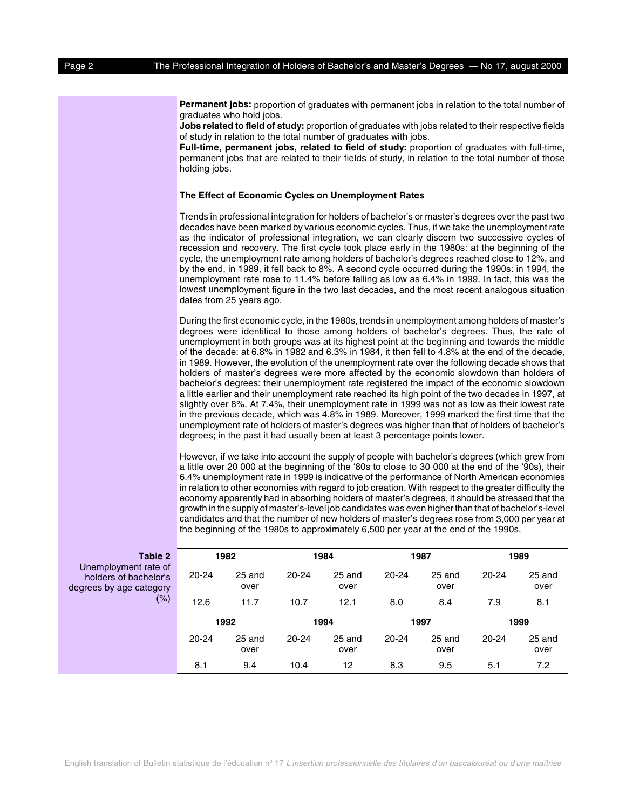**Permanent jobs:** proportion of graduates with permanent jobs in relation to the total number of graduates who hold jobs.

**Jobs related to field of study:** proportion of graduates with jobs related to their respective fields of study in relation to the total number of graduates with jobs.

**Full-time, permanent jobs, related to field of study:** proportion of graduates with full-time, permanent jobs that are related to their fields of study, in relation to the total number of those holding jobs.

#### **The Effect of Economic Cycles on Unemployment Rates**

Trends in professional integration for holders of bachelor's or master's degrees over the past two decades have been marked by various economic cycles. Thus, if we take the unemployment rate as the indicator of professional integration, we can clearly discern two successive cycles of recession and recovery. The first cycle took place early in the 1980s: at the beginning of the cycle, the unemployment rate among holders of bachelor's degrees reached close to 12%, and by the end, in 1989, it fell back to 8%. A second cycle occurred during the 1990s: in 1994, the unemployment rate rose to 11.4% before falling as low as 6.4% in 1999. In fact, this was the lowest unemployment figure in the two last decades, and the most recent analogous situation dates from 25 years ago.

During the first economic cycle, in the 1980s, trends in unemployment among holders of master's degrees were identitical to those among holders of bachelor's degrees. Thus, the rate of unemployment in both groups was at its highest point at the beginning and towards the middle of the decade: at 6.8% in 1982 and 6.3% in 1984, it then fell to 4.8% at the end of the decade, in 1989. However, the evolution of the unemployment rate over the following decade shows that holders of master's degrees were more affected by the economic slowdown than holders of bachelor's degrees: their unemployment rate registered the impact of the economic slowdown a little earlier and their unemployment rate reached its high point of the two decades in 1997, at slightly over 8%. At 7.4%, their unemployment rate in 1999 was not as low as their lowest rate in the previous decade, which was 4.8% in 1989. Moreover, 1999 marked the first time that the unemployment rate of holders of master's degrees was higher than that of holders of bachelor's degrees; in the past it had usually been at least 3 percentage points lower.

However, if we take into account the supply of people with bachelor's degrees (which grew from a little over 20 000 at the beginning of the '80s to close to 30 000 at the end of the '90s), their 6.4% unemployment rate in 1999 is indicative of the performance of North American economies in relation to other economies with regard to job creation. With respect to the greater difficulty the economy apparently had in absorbing holders of master's degrees, it should be stressed that the growth in the supply of master's-level job candidates was even higher than that of bachelor's-level candidates and that the number of new holders of master's degrees rose from 3,000 per year at the beginning of the 1980s to approximately 6,500 per year at the end of the 1990s.

| Table 2                                                                  |           | 1982           | 1984      |                | 1987      |                | 1989      |                |
|--------------------------------------------------------------------------|-----------|----------------|-----------|----------------|-----------|----------------|-----------|----------------|
| Unemployment rate of<br>holders of bachelor's<br>degrees by age category | $20 - 24$ | 25 and<br>over | 20-24     | 25 and<br>over | $20 - 24$ | 25 and<br>over | $20 - 24$ | 25 and<br>over |
| $(\%)$                                                                   | 12.6      | 11.7           | 10.7      | 12.1           | 8.0       | 8.4            | 7.9       | 8.1            |
|                                                                          |           | 1992           |           | 1994           |           | 1997           |           | 1999           |
|                                                                          | $20 - 24$ | 25 and<br>over | $20 - 24$ | 25 and<br>over | 20-24     | 25 and<br>over | 20-24     | 25 and<br>over |
|                                                                          | 8.1       | 9.4            | 10.4      | 12             | 8.3       | 9.5            | 5.1       | 7.2            |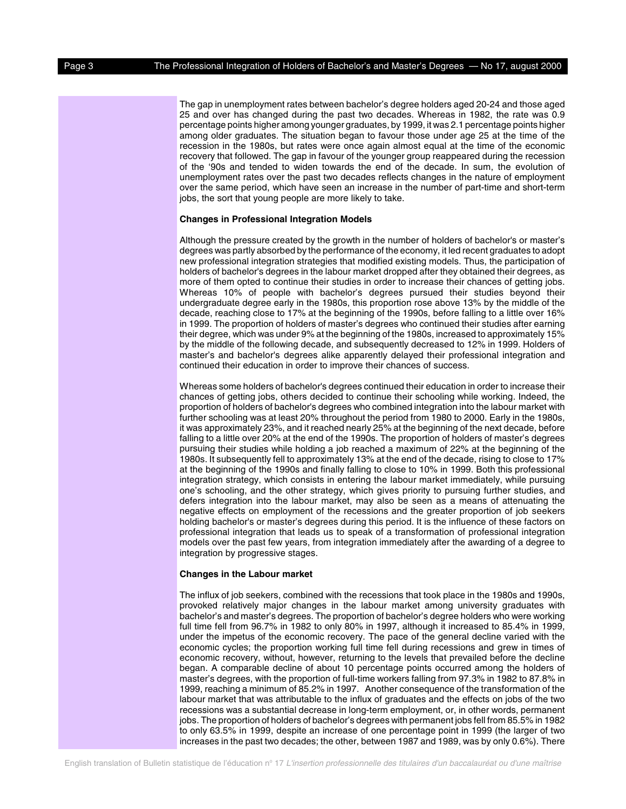The gap in unemployment rates between bachelor's degree holders aged 20-24 and those aged 25 and over has changed during the past two decades. Whereas in 1982, the rate was 0.9 percentage points higher among younger graduates, by 1999, it was 2.1 percentage points higher among older graduates. The situation began to favour those under age 25 at the time of the recession in the 1980s, but rates were once again almost equal at the time of the economic recovery that followed. The gap in favour of the younger group reappeared during the recession of the '90s and tended to widen towards the end of the decade. In sum, the evolution of unemployment rates over the past two decades reflects changes in the nature of employment over the same period, which have seen an increase in the number of part-time and short-term jobs, the sort that young people are more likely to take.

#### **Changes in Professional Integration Models**

Although the pressure created by the growth in the number of holders of bachelor's or master's degrees was partly absorbed by the performance of the economy, it led recent graduates to adopt new professional integration strategies that modified existing models. Thus, the participation of holders of bachelor's degrees in the labour market dropped after they obtained their degrees, as more of them opted to continue their studies in order to increase their chances of getting jobs. Whereas 10% of people with bachelor's degrees pursued their studies beyond their undergraduate degree early in the 1980s, this proportion rose above 13% by the middle of the decade, reaching close to 17% at the beginning of the 1990s, before falling to a little over 16% in 1999. The proportion of holders of master's degrees who continued their studies after earning their degree, which was under 9% at the beginning of the 1980s, increased to approximately 15% by the middle of the following decade, and subsequently decreased to 12% in 1999. Holders of master's and bachelor's degrees alike apparently delayed their professional integration and continued their education in order to improve their chances of success.

Whereas some holders of bachelor's degrees continued their education in order to increase their chances of getting jobs, others decided to continue their schooling while working. Indeed, the proportion of holders of bachelor's degrees who combined integration into the labour market with further schooling was at least 20% throughout the period from 1980 to 2000. Early in the 1980s, it was approximately 23%, and it reached nearly 25% at the beginning of the next decade, before falling to a little over 20% at the end of the 1990s. The proportion of holders of master's degrees pursuing their studies while holding a job reached a maximum of 22% at the beginning of the 1980s. It subsequently fell to approximately 13% at the end of the decade, rising to close to 17% at the beginning of the 1990s and finally falling to close to 10% in 1999. Both this professional integration strategy, which consists in entering the labour market immediately, while pursuing one's schooling, and the other strategy, which gives priority to pursuing further studies, and defers integration into the labour market, may also be seen as a means of attenuating the negative effects on employment of the recessions and the greater proportion of job seekers holding bachelor's or master's degrees during this period. It is the influence of these factors on professional integration that leads us to speak of a transformation of professional integration models over the past few years, from integration immediately after the awarding of a degree to integration by progressive stages.

#### **Changes in the Labour market**

The influx of job seekers, combined with the recessions that took place in the 1980s and 1990s, provoked relatively major changes in the labour market among university graduates with bachelor's and master's degrees. The proportion of bachelor's degree holders who were working full time fell from 96.7% in 1982 to only 80% in 1997, although it increased to 85.4% in 1999, under the impetus of the economic recovery. The pace of the general decline varied with the economic cycles; the proportion working full time fell during recessions and grew in times of economic recovery, without, however, returning to the levels that prevailed before the decline began. A comparable decline of about 10 percentage points occurred among the holders of master's degrees, with the proportion of full-time workers falling from 97.3% in 1982 to 87.8% in 1999, reaching a minimum of 85.2% in 1997. Another consequence of the transformation of the labour market that was attributable to the influx of graduates and the effects on jobs of the two recessions was a substantial decrease in long-term employment, or, in other words, permanent jobs. The proportion of holders of bachelor's degrees with permanent jobs fell from 85.5% in 1982 to only 63.5% in 1999, despite an increase of one percentage point in 1999 (the larger of two increases in the past two decades; the other, between 1987 and 1989, was by only 0.6%). There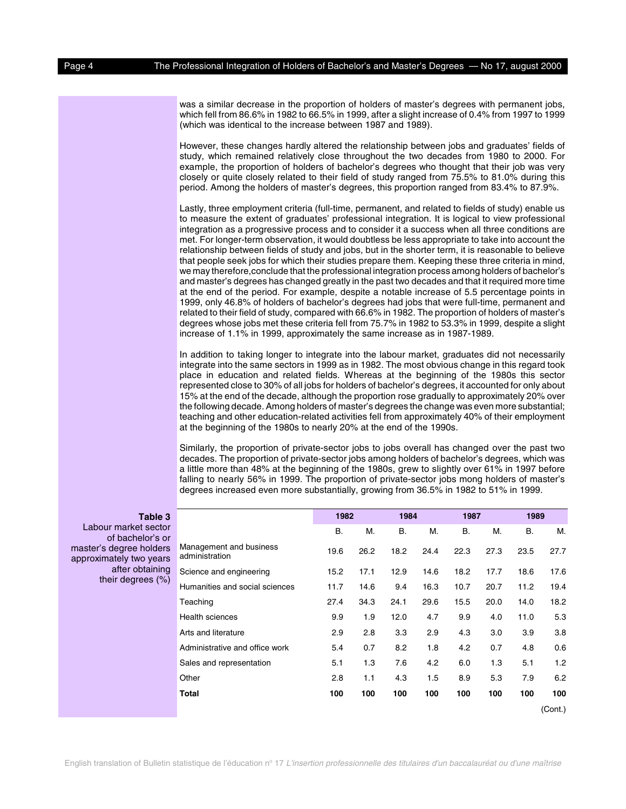was a similar decrease in the proportion of holders of master's degrees with permanent jobs, which fell from 86.6% in 1982 to 66.5% in 1999, after a slight increase of 0.4% from 1997 to 1999 (which was identical to the increase between 1987 and 1989).

However, these changes hardly altered the relationship between jobs and graduates' fields of study, which remained relatively close throughout the two decades from 1980 to 2000. For example, the proportion of holders of bachelor's degrees who thought that their job was very closely or quite closely related to their field of study ranged from 75.5% to 81.0% during this period. Among the holders of master's degrees, this proportion ranged from 83.4% to 87.9%.

Lastly, three employment criteria (full-time, permanent, and related to fields of study) enable us to measure the extent of graduates' professional integration. It is logical to view professional integration as a progressive process and to consider it a success when all three conditions are met. For longer-term observation, it would doubtless be less appropriate to take into account the relationship between fields of study and jobs, but in the shorter term, it is reasonable to believe that people seek jobs for which their studies prepare them. Keeping these three criteria in mind, we may therefore,conclude that the professional integration process among holders of bachelor's and master's degrees has changed greatly in the past two decades and that it required more time at the end of the period. For example, despite a notable increase of 5.5 percentage points in 1999, only 46.8% of holders of bachelor's degrees had jobs that were full-time, permanent and related to their field of study, compared with 66.6% in 1982. The proportion of holders of master's degrees whose jobs met these criteria fell from 75.7% in 1982 to 53.3% in 1999, despite a slight increase of 1.1% in 1999, approximately the same increase as in 1987-1989.

In addition to taking longer to integrate into the labour market, graduates did not necessarily integrate into the same sectors in 1999 as in 1982. The most obvious change in this regard took place in education and related fields. Whereas at the beginning of the 1980s this sector represented close to 30% of all jobs for holders of bachelor's degrees, it accounted for only about 15% at the end of the decade, although the proportion rose gradually to approximately 20% over the following decade. Among holders of master's degrees the change was even more substantial; teaching and other education-related activities fell from approximately 40% of their employment at the beginning of the 1980s to nearly 20% at the end of the 1990s.

Similarly, the proportion of private-sector jobs to jobs overall has changed over the past two decades. The proportion of private-sector jobs among holders of bachelor's degrees, which was a little more than 48% at the beginning of the 1980s, grew to slightly over 61% in 1997 before falling to nearly 56% in 1999. The proportion of private-sector jobs mong holders of master's degrees increased even more substantially, growing from 36.5% in 1982 to 51% in 1999.

|  |  | Table 3 |  |
|--|--|---------|--|
|--|--|---------|--|

Labour market sector of bachelor's or master's degree holders approximately two years after obtaining their degrees (%)

|                                           | 1982      |      | 1984      |      | 1987      |      | 1989      |         |  |
|-------------------------------------------|-----------|------|-----------|------|-----------|------|-----------|---------|--|
|                                           | <b>B.</b> | М.   | <b>B.</b> | М.   | <b>B.</b> | М.   | <b>B.</b> | М.      |  |
| Management and business<br>administration | 19.6      | 26.2 | 18.2      | 24.4 | 22.3      | 27.3 | 23.5      | 27.7    |  |
| Science and engineering                   | 15.2      | 17.1 | 12.9      | 14.6 | 18.2      | 17.7 | 18.6      | 17.6    |  |
| Humanities and social sciences            | 11.7      | 14.6 | 9.4       | 16.3 | 10.7      | 20.7 | 11.2      | 19.4    |  |
| Teaching                                  | 27.4      | 34.3 | 24.1      | 29.6 | 15.5      | 20.0 | 14.0      | 18.2    |  |
| <b>Health sciences</b>                    | 9.9       | 1.9  | 12.0      | 4.7  | 9.9       | 4.0  | 11.0      | 5.3     |  |
| Arts and literature                       | 2.9       | 2.8  | 3.3       | 2.9  | 4.3       | 3.0  | 3.9       | 3.8     |  |
| Administrative and office work            | 5.4       | 0.7  | 8.2       | 1.8  | 4.2       | 0.7  | 4.8       | 0.6     |  |
| Sales and representation                  | 5.1       | 1.3  | 7.6       | 4.2  | 6.0       | 1.3  | 5.1       | 1.2     |  |
| Other                                     | 2.8       | 1.1  | 4.3       | 1.5  | 8.9       | 5.3  | 7.9       | 6.2     |  |
| Total                                     | 100       | 100  | 100       | 100  | 100       | 100  | 100       | 100     |  |
|                                           |           |      |           |      |           |      |           | (Cont.) |  |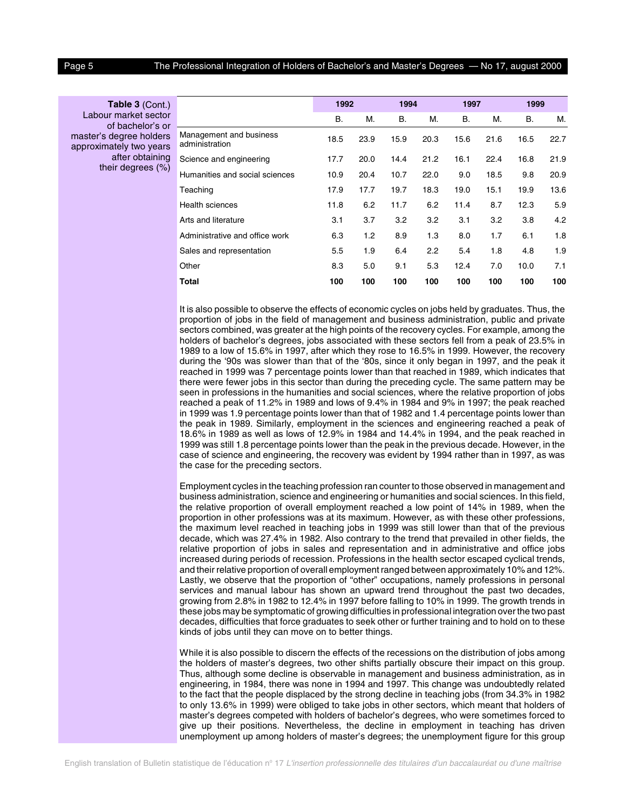**Table 3** (Cont.) Labour market sector of bachelor's or master's degree holders approximately two years after obtaining their degrees (%)

|                                           | 1992      |      | 1994 |      | 1997 |      | 1999 |      |
|-------------------------------------------|-----------|------|------|------|------|------|------|------|
|                                           | <b>B.</b> | М.   | В.   | М.   | В.   | М.   | В.   | М.   |
| Management and business<br>administration | 18.5      | 23.9 | 15.9 | 20.3 | 15.6 | 21.6 | 16.5 | 22.7 |
| Science and engineering                   | 17.7      | 20.0 | 14.4 | 21.2 | 16.1 | 22.4 | 16.8 | 21.9 |
| Humanities and social sciences            | 10.9      | 20.4 | 10.7 | 22.0 | 9.0  | 18.5 | 9.8  | 20.9 |
| Teaching                                  | 17.9      | 17.7 | 19.7 | 18.3 | 19.0 | 15.1 | 19.9 | 13.6 |
| <b>Health sciences</b>                    | 11.8      | 6.2  | 11.7 | 6.2  | 11.4 | 8.7  | 12.3 | 5.9  |
| Arts and literature                       | 3.1       | 3.7  | 3.2  | 3.2  | 3.1  | 3.2  | 3.8  | 4.2  |
| Administrative and office work            | 6.3       | 1.2  | 8.9  | 1.3  | 8.0  | 1.7  | 6.1  | 1.8  |
| Sales and representation                  | $5.5\,$   | 1.9  | 6.4  | 2.2  | 5.4  | 1.8  | 4.8  | 1.9  |
| Other                                     | 8.3       | 5.0  | 9.1  | 5.3  | 12.4 | 7.0  | 10.0 | 7.1  |
| Total                                     | 100       | 100  | 100  | 100  | 100  | 100  | 100  | 100  |

It is also possible to observe the effects of economic cycles on jobs held by graduates. Thus, the proportion of jobs in the field of management and business administration, public and private sectors combined, was greater at the high points of the recovery cycles. For example, among the holders of bachelor's degrees, jobs associated with these sectors fell from a peak of 23.5% in 1989 to a low of 15.6% in 1997, after which they rose to 16.5% in 1999. However, the recovery during the '90s was slower than that of the '80s, since it only began in 1997, and the peak it reached in 1999 was 7 percentage points lower than that reached in 1989, which indicates that there were fewer jobs in this sector than during the preceding cycle. The same pattern may be seen in professions in the humanities and social sciences, where the relative proportion of jobs reached a peak of 11.2% in 1989 and lows of 9.4% in 1984 and 9% in 1997; the peak reached in 1999 was 1.9 percentage points lower than that of 1982 and 1.4 percentage points lower than the peak in 1989. Similarly, employment in the sciences and engineering reached a peak of 18.6% in 1989 as well as lows of 12.9% in 1984 and 14.4% in 1994, and the peak reached in 1999 was still 1.8 percentage points lower than the peak in the previous decade. However, in the case of science and engineering, the recovery was evident by 1994 rather than in 1997, as was the case for the preceding sectors.

Employment cycles in the teaching profession ran counter to those observed in management and business administration, science and engineering or humanities and social sciences. In this field, the relative proportion of overall employment reached a low point of 14% in 1989, when the proportion in other professions was at its maximum. However, as with these other professions, the maximum level reached in teaching jobs in 1999 was still lower than that of the previous decade, which was 27.4% in 1982. Also contrary to the trend that prevailed in other fields, the relative proportion of jobs in sales and representation and in administrative and office jobs increased during periods of recession. Professions in the health sector escaped cyclical trends, and their relative proportion of overall employment ranged between approximately 10% and 12%. Lastly, we observe that the proportion of "other" occupations, namely professions in personal services and manual labour has shown an upward trend throughout the past two decades, growing from 2.8% in 1982 to 12.4% in 1997 before falling to 10% in 1999. The growth trends in these jobs may be symptomatic of growing difficulties in professional integration over the two past decades, difficulties that force graduates to seek other or further training and to hold on to these kinds of jobs until they can move on to better things.

While it is also possible to discern the effects of the recessions on the distribution of jobs among the holders of master's degrees, two other shifts partially obscure their impact on this group. Thus, although some decline is observable in management and business administration, as in engineering, in 1984, there was none in 1994 and 1997. This change was undoubtedly related to the fact that the people displaced by the strong decline in teaching jobs (from 34.3% in 1982 to only 13.6% in 1999) were obliged to take jobs in other sectors, which meant that holders of master's degrees competed with holders of bachelor's degrees, who were sometimes forced to give up their positions. Nevertheless, the decline in employment in teaching has driven unemployment up among holders of master's degrees; the unemployment figure for this group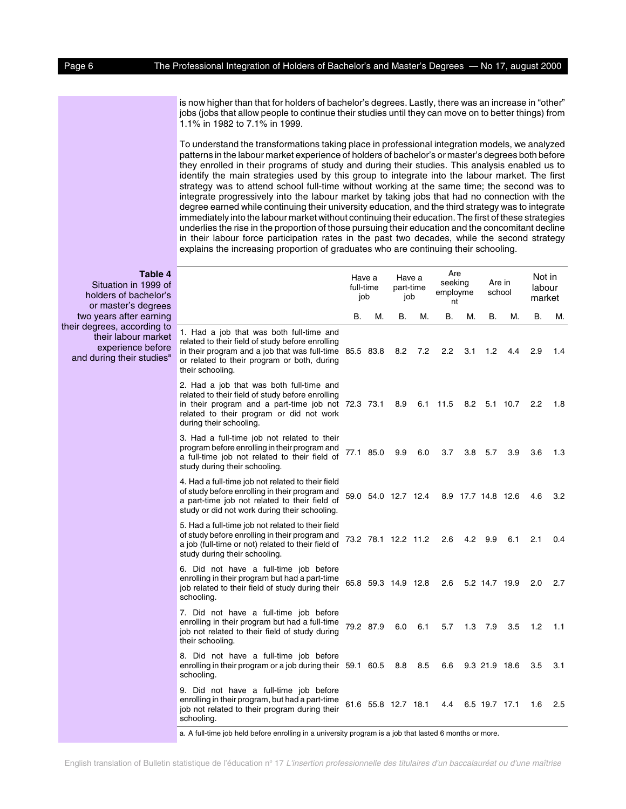is now higher than that for holders of bachelor's degrees. Lastly, there was an increase in "other" jobs (jobs that allow people to continue their studies until they can move on to better things) from 1.1% in 1982 to 7.1% in 1999.

To understand the transformations taking place in professional integration models, we analyzed patterns in the labour market experience of holders of bachelor's or master's degrees both before they enrolled in their programs of study and during their studies. This analysis enabled us to identify the main strategies used by this group to integrate into the labour market. The first strategy was to attend school full-time without working at the same time; the second was to integrate progressively into the labour market by taking jobs that had no connection with the degree earned while continuing their university education, and the third strategy was to integrate immediately into the labour market without continuing their education. The first of these strategies underlies the rise in the proportion of those pursuing their education and the concomitant decline in their labour force participation rates in the past two decades, while the second strategy explains the increasing proportion of graduates who are continuing their schooling.

> Have a full-time

Have a part-time

Are seeking

Are in

Not in labour

## **Table 4**

Situation in 1999 of holders of bachel or master's degre two years after earn their degrees, according their labour ma experience bef and during their studi

| or's<br>ees                              |                                                                                                                                                                                                                            | טוווווווט<br>job |                     | part time<br>job |     | employme<br>nt |     |                    | school   | iuw<br>market |     |
|------------------------------------------|----------------------------------------------------------------------------------------------------------------------------------------------------------------------------------------------------------------------------|------------------|---------------------|------------------|-----|----------------|-----|--------------------|----------|---------------|-----|
| ning                                     |                                                                                                                                                                                                                            | В.               | М.                  | В.               | М.  | В.             | М.  | В.                 | М.       | В.            | М.  |
| g to<br>rket<br>fore<br>ies <sup>a</sup> | 1. Had a job that was both full-time and<br>related to their field of study before enrolling<br>in their program and a job that was full-time 85.5 83.8<br>or related to their program or both, during<br>their schooling. |                  |                     | 8.2              | 7.2 | 2.2            | 3.1 | 1.2                | 4.4      | 2.9           | 1.4 |
|                                          | 2. Had a job that was both full-time and<br>related to their field of study before enrolling<br>in their program and a part-time job not 72.3 73.1<br>related to their program or did not work<br>during their schooling.  |                  |                     | 8.9              | 6.1 | 11.5           | 8.2 |                    | 5.1 10.7 | 2.2           | 1.8 |
|                                          | 3. Had a full-time job not related to their<br>program before enrolling in their program and<br>a full-time job not related to their field of<br>study during their schooling.                                             |                  | 77.1 85.0           | 9.9              | 6.0 | 3.7            | 3.8 | 5.7                | 3.9      | 3.6           | 1.3 |
|                                          | 4. Had a full-time job not related to their field<br>of study before enrolling in their program and<br>a part-time job not related to their field of<br>study or did not work during their schooling.                      |                  | 59.0 54.0 12.7 12.4 |                  |     |                |     | 8.9 17.7 14.8 12.6 |          | 4.6           | 3.2 |
|                                          | 5. Had a full-time job not related to their field<br>of study before enrolling in their program and<br>a job (full-time or not) related to their field of<br>study during their schooling.                                 |                  | 73.2 78.1 12.2 11.2 |                  |     | 2.6            | 4.2 | 9.9                | 6.1      | 2.1           | 0.4 |
|                                          | 6. Did not have a full-time job before<br>enrolling in their program but had a part-time<br>job related to their field of study during their<br>schooling.                                                                 |                  | 65.8 59.3 14.9 12.8 |                  |     | 2.6            |     | 5.2 14.7 19.9      |          | 2.0           | 2.7 |
|                                          | 7. Did not have a full-time job before<br>enrolling in their program but had a full-time<br>job not related to their field of study during<br>their schooling.                                                             |                  | 79.2 87.9           | 6.0              | 6.1 | 5.7            | 1.3 | 7.9                | 3.5      | 1.2           | 1.1 |
|                                          | 8. Did not have a full-time job before<br>enrolling in their program or a job during their 59.1 60.5<br>schooling.                                                                                                         |                  |                     | 8.8              | 8.5 | 6.6            |     | 9.3 21.9 18.6      |          | 3.5           | 3.1 |
|                                          | 9. Did not have a full-time job before<br>enrolling in their program, but had a part-time<br>job not related to their program during their<br>schooling.                                                                   |                  | 61.6 55.8 12.7 18.1 |                  |     | 4.4            |     | 6.5 19.7 17.1      |          | 1.6           | 2.5 |

a. A full-time job held before enrolling in a university program is a job that lasted 6 months or more.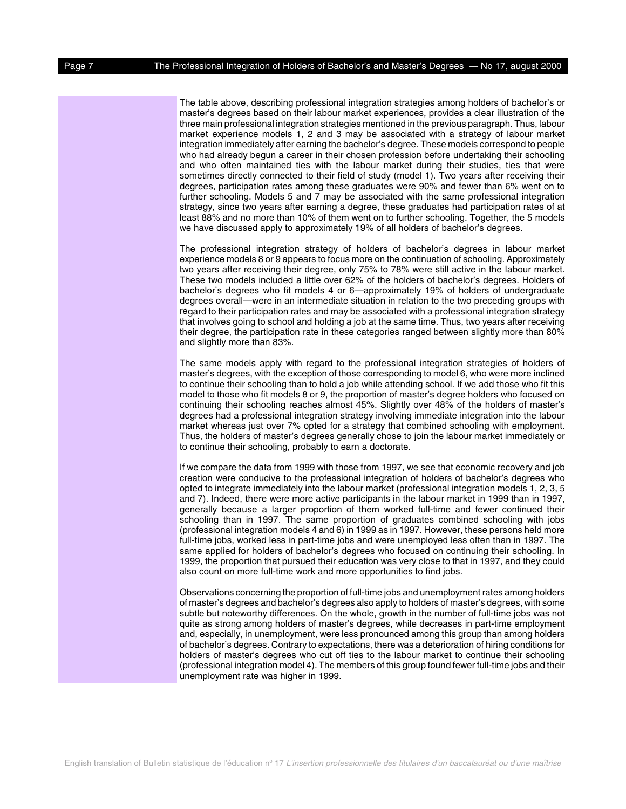The table above, describing professional integration strategies among holders of bachelor's or master's degrees based on their labour market experiences, provides a clear illustration of the three main professional integration strategies mentioned in the previous paragraph. Thus, labour market experience models 1, 2 and 3 may be associated with a strategy of labour market integration immediately after earning the bachelor's degree. These models correspond to people who had already begun a career in their chosen profession before undertaking their schooling and who often maintained ties with the labour market during their studies, ties that were sometimes directly connected to their field of study (model 1). Two years after receiving their degrees, participation rates among these graduates were 90% and fewer than 6% went on to further schooling. Models 5 and 7 may be associated with the same professional integration strategy, since two years after earning a degree, these graduates had participation rates of at least 88% and no more than 10% of them went on to further schooling. Together, the 5 models we have discussed apply to approximately 19% of all holders of bachelor's degrees.

The professional integration strategy of holders of bachelor's degrees in labour market experience models 8 or 9 appears to focus more on the continuation of schooling. Approximately two years after receiving their degree, only 75% to 78% were still active in the labour market. These two models included a little over 62% of the holders of bachelor's degrees. Holders of bachelor's degrees who fit models 4 or 6—approximately 19% of holders of undergraduate degrees overall—were in an intermediate situation in relation to the two preceding groups with regard to their participation rates and may be associated with a professional integration strategy that involves going to school and holding a job at the same time. Thus, two years after receiving their degree, the participation rate in these categories ranged between slightly more than 80% and slightly more than 83%.

The same models apply with regard to the professional integration strategies of holders of master's degrees, with the exception of those corresponding to model 6, who were more inclined to continue their schooling than to hold a job while attending school. If we add those who fit this model to those who fit models 8 or 9, the proportion of master's degree holders who focused on continuing their schooling reaches almost 45%. Slightly over 48% of the holders of master's degrees had a professional integration strategy involving immediate integration into the labour market whereas just over 7% opted for a strategy that combined schooling with employment. Thus, the holders of master's degrees generally chose to join the labour market immediately or to continue their schooling, probably to earn a doctorate.

If we compare the data from 1999 with those from 1997, we see that economic recovery and job creation were conducive to the professional integration of holders of bachelor's degrees who opted to integrate immediately into the labour market (professional integration models 1, 2, 3, 5 and 7). Indeed, there were more active participants in the labour market in 1999 than in 1997, generally because a larger proportion of them worked full-time and fewer continued their schooling than in 1997. The same proportion of graduates combined schooling with jobs (professional integration models 4 and 6) in 1999 as in 1997. However, these persons held more full-time jobs, worked less in part-time jobs and were unemployed less often than in 1997. The same applied for holders of bachelor's degrees who focused on continuing their schooling. In 1999, the proportion that pursued their education was very close to that in 1997, and they could also count on more full-time work and more opportunities to find jobs.

Observations concerning the proportion of full-time jobs and unemployment rates among holders of master's degrees and bachelor's degrees also apply to holders of master's degrees, with some subtle but noteworthy differences. On the whole, growth in the number of full-time jobs was not quite as strong among holders of master's degrees, while decreases in part-time employment and, especially, in unemployment, were less pronounced among this group than among holders of bachelor's degrees. Contrary to expectations, there was a deterioration of hiring conditions for holders of master's degrees who cut off ties to the labour market to continue their schooling (professional integration model 4). The members of this group found fewer full-time jobs and their unemployment rate was higher in 1999.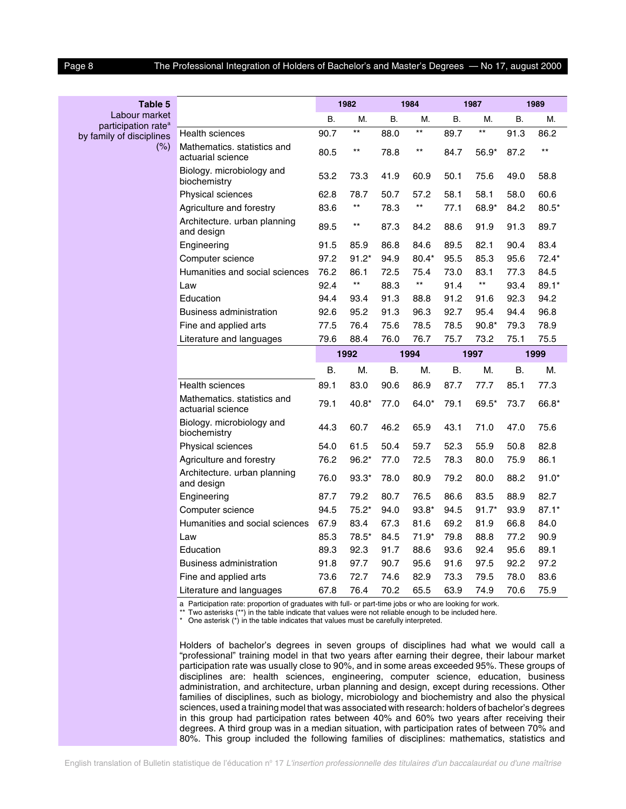by family of discipli

| Table 5                                          |                                                  |           | 1982            |           | 1984            |           | 1987            |      | 1989         |
|--------------------------------------------------|--------------------------------------------------|-----------|-----------------|-----------|-----------------|-----------|-----------------|------|--------------|
| Labour market<br>participation rate <sup>a</sup> |                                                  | <b>B.</b> | М.              | <b>B.</b> | М.              | В.        | М.              | В.   | М.           |
| mily of disciplines                              | <b>Health sciences</b>                           | 90.7      | **              | 88.0      | $\star\star$    | 89.7      | $^{\star\star}$ | 91.3 | 86.2         |
| $(\%)$                                           | Mathematics. statistics and<br>actuarial science | 80.5      | $***$           | 78.8      | $***$           | 84.7      | $56.9*$         | 87.2 | $\star\star$ |
|                                                  | Biology. microbiology and<br>biochemistry        | 53.2      | 73.3            | 41.9      | 60.9            | 50.1      | 75.6            | 49.0 | 58.8         |
|                                                  | Physical sciences                                | 62.8      | 78.7            | 50.7      | 57.2            | 58.1      | 58.1            | 58.0 | 60.6         |
|                                                  | Agriculture and forestry                         | 83.6      | $^{\star\star}$ | 78.3      | $^{\star\star}$ | 77.1      | 68.9*           | 84.2 | $80.5*$      |
|                                                  | Architecture. urban planning<br>and design       | 89.5      | $***$           | 87.3      | 84.2            | 88.6      | 91.9            | 91.3 | 89.7         |
|                                                  | Engineering                                      | 91.5      | 85.9            | 86.8      | 84.6            | 89.5      | 82.1            | 90.4 | 83.4         |
|                                                  | Computer science                                 | 97.2      | $91.2*$         | 94.9      | $80.4*$         | 95.5      | 85.3            | 95.6 | $72.4*$      |
|                                                  | Humanities and social sciences                   | 76.2      | 86.1            | 72.5      | 75.4            | 73.0      | 83.1            | 77.3 | 84.5         |
|                                                  | Law                                              | 92.4      | $^{\star\star}$ | 88.3      | $^{\star\star}$ | 91.4      | $^{\star\star}$ | 93.4 | 89.1*        |
|                                                  | Education                                        | 94.4      | 93.4            | 91.3      | 88.8            | 91.2      | 91.6            | 92.3 | 94.2         |
|                                                  | <b>Business administration</b>                   | 92.6      | 95.2            | 91.3      | 96.3            | 92.7      | 95.4            | 94.4 | 96.8         |
|                                                  | Fine and applied arts                            | 77.5      | 76.4            | 75.6      | 78.5            | 78.5      | $90.8*$         | 79.3 | 78.9         |
|                                                  | Literature and languages                         | 79.6      | 88.4            | 76.0      | 76.7            | 75.7      | 73.2            | 75.1 | 75.5         |
|                                                  |                                                  |           | 1992            |           | 1994            |           | 1997            |      | 1999         |
|                                                  |                                                  | Β.        | М.              | <b>B.</b> | М.              | <b>B.</b> | М.              | В.   | М.           |
|                                                  | <b>Health sciences</b>                           | 89.1      | 83.0            | 90.6      | 86.9            | 87.7      | 77.7            | 85.1 | 77.3         |
|                                                  | Mathematics, statistics and<br>actuarial science | 79.1      | 40.8*           | 77.0      | 64.0*           | 79.1      | 69.5*           | 73.7 | 66.8*        |
|                                                  | Biology. microbiology and<br>biochemistry        | 44.3      | 60.7            | 46.2      | 65.9            | 43.1      | 71.0            | 47.0 | 75.6         |
|                                                  | Physical sciences                                | 54.0      | 61.5            | 50.4      | 59.7            | 52.3      | 55.9            | 50.8 | 82.8         |
|                                                  | Agriculture and forestry                         | 76.2      | 96.2*           | 77.0      | 72.5            | 78.3      | 80.0            | 75.9 | 86.1         |
|                                                  | Architecture. urban planning<br>and design       | 76.0      | $93.3*$         | 78.0      | 80.9            | 79.2      | 80.0            | 88.2 | $91.0*$      |
|                                                  | Engineering                                      | 87.7      | 79.2            | 80.7      | 76.5            | 86.6      | 83.5            | 88.9 | 82.7         |
|                                                  | Computer science                                 | 94.5      | $75.2*$         | 94.0      | $93.8*$         | 94.5      | $91.7*$         | 93.9 | $87.1*$      |
|                                                  | Humanities and social sciences                   | 67.9      | 83.4            | 67.3      | 81.6            | 69.2      | 81.9            | 66.8 | 84.0         |
|                                                  | Law                                              | 85.3      | 78.5*           | 84.5      | $71.9*$         | 79.8      | 88.8            | 77.2 | 90.9         |
|                                                  | Education                                        | 89.3      | 92.3            | 91.7      | 88.6            | 93.6      | 92.4            | 95.6 | 89.1         |
|                                                  | <b>Business administration</b>                   | 91.8      | 97.7            | 90.7      | 95.6            | 91.6      | 97.5            | 92.2 | 97.2         |
|                                                  | Fine and applied arts                            | 73.6      | 72.7            | 74.6      | 82.9            | 73.3      | 79.5            | 78.0 | 83.6         |
|                                                  | Literature and languages                         | 67.8      | 76.4            | 70.2      | 65.5            | 63.9      | 74.9            | 70.6 | 75.9         |

a Participation rate: proportion of graduates with full- or part-time jobs or who are looking for work.

\*\* Two asterisks (\*\*) in the table indicate that values were not reliable enough to be included here.

\* One asterisk (\*) in the table indicates that values must be carefully interpreted.

Holders of bachelor's degrees in seven groups of disciplines had what we would call a "professional" training model in that two years after earning their degree, their labour market participation rate was usually close to 90%, and in some areas exceeded 95%. These groups of disciplines are: health sciences, engineering, computer science, education, business administration, and architecture, urban planning and design, except during recessions. Other families of disciplines, such as biology, microbiology and biochemistry and also the physical sciences, used a training model that was associated with research: holders of bachelor's degrees in this group had participation rates between 40% and 60% two years after receiving their degrees. A third group was in a median situation, with participation rates of between 70% and 80%. This group included the following families of disciplines: mathematics, statistics and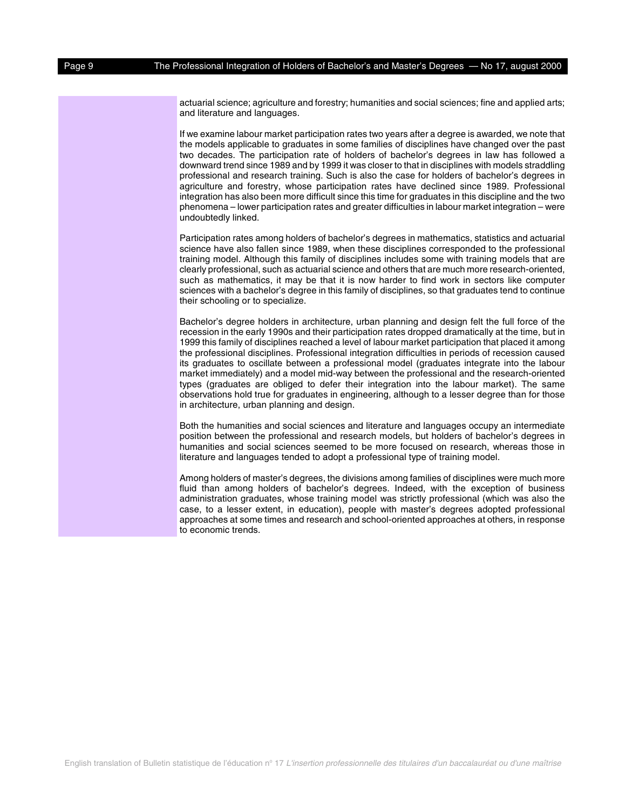actuarial science; agriculture and forestry; humanities and social sciences; fine and applied arts; and literature and languages.

If we examine labour market participation rates two years after a degree is awarded, we note that the models applicable to graduates in some families of disciplines have changed over the past two decades. The participation rate of holders of bachelor's degrees in law has followed a downward trend since 1989 and by 1999 it was closer to that in disciplines with models straddling professional and research training. Such is also the case for holders of bachelor's degrees in agriculture and forestry, whose participation rates have declined since 1989. Professional integration has also been more difficult since this time for graduates in this discipline and the two phenomena – lower participation rates and greater difficulties in labour market integration – were undoubtedly linked.

Participation rates among holders of bachelor's degrees in mathematics, statistics and actuarial science have also fallen since 1989, when these disciplines corresponded to the professional training model. Although this family of disciplines includes some with training models that are clearly professional, such as actuarial science and others that are much more research-oriented, such as mathematics, it may be that it is now harder to find work in sectors like computer sciences with a bachelor's degree in this family of disciplines, so that graduates tend to continue their schooling or to specialize.

Bachelor's degree holders in architecture, urban planning and design felt the full force of the recession in the early 1990s and their participation rates dropped dramatically at the time, but in 1999 this family of disciplines reached a level of labour market participation that placed it among the professional disciplines. Professional integration difficulties in periods of recession caused its graduates to oscillate between a professional model (graduates integrate into the labour market immediately) and a model mid-way between the professional and the research-oriented types (graduates are obliged to defer their integration into the labour market). The same observations hold true for graduates in engineering, although to a lesser degree than for those in architecture, urban planning and design.

Both the humanities and social sciences and literature and languages occupy an intermediate position between the professional and research models, but holders of bachelor's degrees in humanities and social sciences seemed to be more focused on research, whereas those in literature and languages tended to adopt a professional type of training model.

Among holders of master's degrees, the divisions among families of disciplines were much more fluid than among holders of bachelor's degrees. Indeed, with the exception of business administration graduates, whose training model was strictly professional (which was also the case, to a lesser extent, in education), people with master's degrees adopted professional approaches at some times and research and school-oriented approaches at others, in response to economic trends.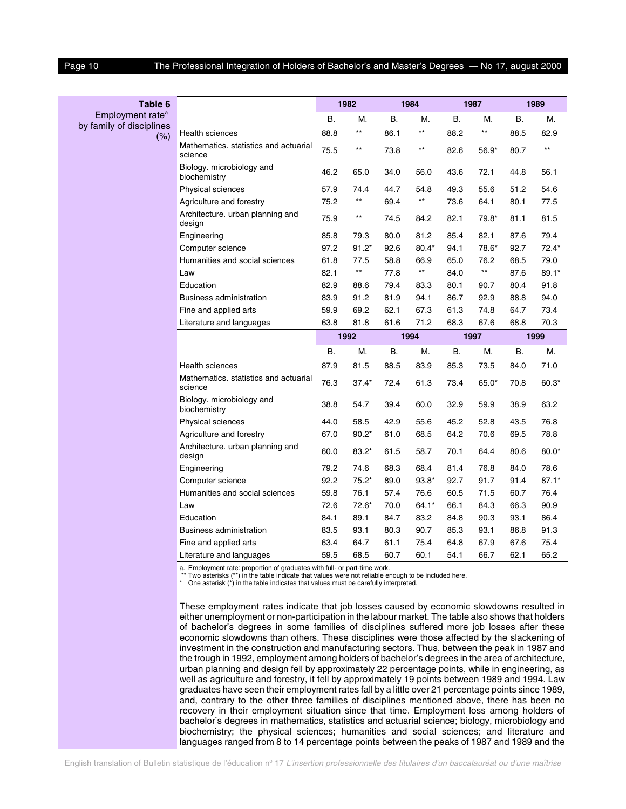| Table 6                          |                                                  |           | 1982            |           | 1984            |           | 1987    |           | 1989    |
|----------------------------------|--------------------------------------------------|-----------|-----------------|-----------|-----------------|-----------|---------|-----------|---------|
| Employment rate <sup>a</sup>     |                                                  | В.        | Μ.              | <b>B.</b> | М.              | В.        | М.      | <b>B.</b> | М.      |
| by family of disciplines<br>(% ) | <b>Health sciences</b>                           | 88.8      | $^{\star\star}$ | 86.1      | $^{\star\star}$ | 88.2      | **      | 88.5      | 82.9    |
|                                  | Mathematics. statistics and actuarial<br>science | 75.5      | $***$           | 73.8      | $***$           | 82.6      | $56.9*$ | 80.7      | $***$   |
|                                  | Biology. microbiology and<br>biochemistry        | 46.2      | 65.0            | 34.0      | 56.0            | 43.6      | 72.1    | 44.8      | 56.1    |
|                                  | Physical sciences                                | 57.9      | 74.4            | 44.7      | 54.8            | 49.3      | 55.6    | 51.2      | 54.6    |
|                                  | Agriculture and forestry                         | 75.2      | $***$           | 69.4      | $***$           | 73.6      | 64.1    | 80.1      | 77.5    |
|                                  | Architecture. urban planning and<br>design       | 75.9      | $^{\star\star}$ | 74.5      | 84.2            | 82.1      | $79.8*$ | 81.1      | 81.5    |
|                                  | Engineering                                      | 85.8      | 79.3            | 80.0      | 81.2            | 85.4      | 82.1    | 87.6      | 79.4    |
|                                  | Computer science                                 | 97.2      | $91.2*$         | 92.6      | $80.4*$         | 94.1      | 78.6*   | 92.7      | $72.4*$ |
|                                  | Humanities and social sciences                   | 61.8      | 77.5            | 58.8      | 66.9            | 65.0      | 76.2    | 68.5      | 79.0    |
|                                  | Law                                              | 82.1      | $^{\star\star}$ | 77.8      | $\star\star$    | 84.0      | **      | 87.6      | 89.1*   |
|                                  | Education                                        | 82.9      | 88.6            | 79.4      | 83.3            | 80.1      | 90.7    | 80.4      | 91.8    |
|                                  | <b>Business administration</b>                   | 83.9      | 91.2            | 81.9      | 94.1            | 86.7      | 92.9    | 88.8      | 94.0    |
|                                  | Fine and applied arts                            | 59.9      | 69.2            | 62.1      | 67.3            | 61.3      | 74.8    | 64.7      | 73.4    |
|                                  | Literature and languages                         | 63.8      | 81.8            | 61.6      | 71.2            | 68.3      | 67.6    | 68.8      | 70.3    |
|                                  |                                                  |           | 1992            |           | 1994            |           | 1997    |           | 1999    |
|                                  |                                                  | <b>B.</b> | M.              | <b>B.</b> | M.              | <b>B.</b> | М.      | В.        | М.      |
|                                  | <b>Health sciences</b>                           | 87.9      | 81.5            | 88.5      | 83.9            | 85.3      | 73.5    | 84.0      | 71.0    |
|                                  | Mathematics. statistics and actuarial<br>science | 76.3      | $37.4*$         | 72.4      | 61.3            | 73.4      | $65.0*$ | 70.8      | $60.3*$ |
|                                  | Biology. microbiology and<br>biochemistry        | 38.8      | 54.7            | 39.4      | 60.0            | 32.9      | 59.9    | 38.9      | 63.2    |
|                                  | Physical sciences                                | 44.0      | 58.5            | 42.9      | 55.6            | 45.2      | 52.8    | 43.5      | 76.8    |
|                                  | Agriculture and forestry                         | 67.0      | $90.2*$         | 61.0      | 68.5            | 64.2      | 70.6    | 69.5      | 78.8    |
|                                  | Architecture. urban planning and<br>design       | 60.0      | $83.2*$         | 61.5      | 58.7            | 70.1      | 64.4    | 80.6      | $80.0*$ |
|                                  | Engineering                                      | 79.2      | 74.6            | 68.3      | 68.4            | 81.4      | 76.8    | 84.0      | 78.6    |
|                                  | Computer science                                 | 92.2      | $75.2*$         | 89.0      | $93.8*$         | 92.7      | 91.7    | 91.4      | $87.1*$ |
|                                  | Humanities and social sciences                   | 59.8      | 76.1            | 57.4      | 76.6            | 60.5      | 71.5    | 60.7      | 76.4    |
|                                  | Law                                              | 72.6      | $72.6*$         | 70.0      | 64.1*           | 66.1      | 84.3    | 66.3      | 90.9    |
|                                  | Education                                        | 84.1      | 89.1            | 84.7      | 83.2            | 84.8      | 90.3    | 93.1      | 86.4    |
|                                  | <b>Business administration</b>                   | 83.5      | 93.1            | 80.3      | 90.7            | 85.3      | 93.1    | 86.8      | 91.3    |
|                                  | Fine and applied arts                            | 63.4      | 64.7            | 61.1      | 75.4            | 64.8      | 67.9    | 67.6      | 75.4    |
|                                  | Literature and languages                         | 59.5      | 68.5            | 60.7      | 60.1            | 54.1      | 66.7    | 62.1      | 65.2    |

a. Employment rate: proportion of graduates with full- or part-time work.

The stream that the process of graduate that values were not reliable enough to be included here.

\* One asterisk (\*) in the table indicates that values must be carefully interpreted.

These employment rates indicate that job losses caused by economic slowdowns resulted in either unemployment or non-participation in the labour market. The table also shows that holders of bachelor's degrees in some families of disciplines suffered more job losses after these economic slowdowns than others. These disciplines were those affected by the slackening of investment in the construction and manufacturing sectors. Thus, between the peak in 1987 and the trough in 1992, employment among holders of bachelor's degrees in the area of architecture, urban planning and design fell by approximately 22 percentage points, while in engineering, as well as agriculture and forestry, it fell by approximately 19 points between 1989 and 1994. Law graduates have seen their employment rates fall by a little over 21 percentage points since 1989, and, contrary to the other three families of disciplines mentioned above, there has been no recovery in their employment situation since that time. Employment loss among holders of bachelor's degrees in mathematics, statistics and actuarial science; biology, microbiology and biochemistry; the physical sciences; humanities and social sciences; and literature and languages ranged from 8 to 14 percentage points between the peaks of 1987 and 1989 and the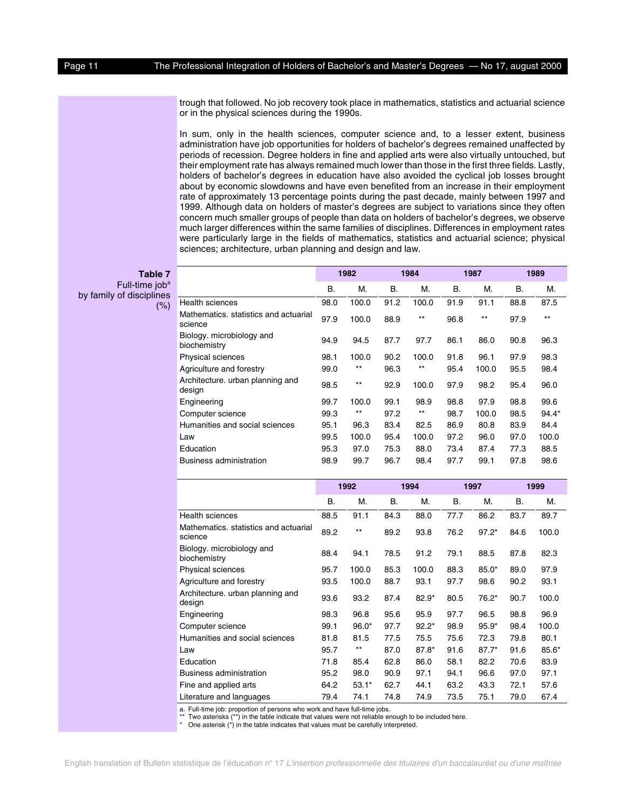trough that followed. No job recovery took place in mathematics, statistics and actuarial science or in the physical sciences during the 1990s.

In sum, only in the health sciences, computer science and, to a lesser extent, business administration have job opportunities for holders of bachelor's degrees remained unaffected by periods of recession. Degree holders in fine and applied arts were also virtually untouched, but their employment rate has always remained much lower than those in the first three fields. Lastly, holders of bachelor's degrees in education have also avoided the cyclical job losses brought about by economic slowdowns and have even benefited from an increase in their employment rate of approximately 13 percentage points during the past decade, mainly between 1997 and 1999. Although data on holders of master's degrees are subject to variations since they often concern much smaller groups of people than data on holders of bachelor's degrees, we observe much larger differences within the same families of disciplines. Differences in employment rates were particularly large in the fields of mathematics, statistics and actuarial science; physical sciences; architecture, urban planning and design and law.

**1982 1984 1987 1989**

| <b>Table 7</b>             |  |
|----------------------------|--|
| Full-time job <sup>a</sup> |  |
| by family of disciplines   |  |

 $(% )$ 

|                                                  | В.   | М.    | В.   | М.    | В.   | М.    | В.   | М.      |
|--------------------------------------------------|------|-------|------|-------|------|-------|------|---------|
| <b>Health sciences</b>                           | 98.0 | 100.0 | 91.2 | 100.0 | 91.9 | 91.1  | 88.8 | 87.5    |
| Mathematics, statistics and actuarial<br>science | 97.9 | 100.0 | 88.9 | $***$ | 96.8 | $***$ | 97.9 | $***$   |
| Biology. microbiology and<br>biochemistry        | 94.9 | 94.5  | 87.7 | 97.7  | 86.1 | 86.0  | 90.8 | 96.3    |
| <b>Physical sciences</b>                         | 98.1 | 100.0 | 90.2 | 100.0 | 91.8 | 96.1  | 97.9 | 98.3    |
| Agriculture and forestry                         | 99.0 | $***$ | 96.3 | $***$ | 95.4 | 100.0 | 95.5 | 98.4    |
| Architecture. urban planning and<br>design       | 98.5 | $***$ | 92.9 | 100.0 | 97.9 | 98.2  | 95.4 | 96.0    |
| Engineering                                      | 99.7 | 100.0 | 99.1 | 98.9  | 98.8 | 97.9  | 98.8 | 99.6    |
| Computer science                                 | 99.3 | $***$ | 97.2 | $***$ | 98.7 | 100.0 | 98.5 | $94.4*$ |
| Humanities and social sciences                   | 95.1 | 96.3  | 83.4 | 82.5  | 86.9 | 80.8  | 83.9 | 84.4    |
| Law                                              | 99.5 | 100.0 | 95.4 | 100.0 | 97.2 | 96.0  | 97.0 | 100.0   |
| Education                                        | 95.3 | 97.0  | 75.3 | 88.0  | 73.4 | 87.4  | 77.3 | 88.5    |
| Business administration                          | 98.9 | 99.7  | 96.7 | 98.4  | 97.7 | 99.1  | 97.8 | 98.6    |

|                                                  |      | 1992    |           | 1994    | 1997      |         |      | 1999    |
|--------------------------------------------------|------|---------|-----------|---------|-----------|---------|------|---------|
|                                                  | В.   | М.      | <b>B.</b> | М.      | <b>B.</b> | М.      | Β.   | М.      |
| Health sciences                                  | 88.5 | 91.1    | 84.3      | 88.0    | 77.7      | 86.2    | 83.7 | 89.7    |
| Mathematics, statistics and actuarial<br>science | 89.2 | $***$   | 89.2      | 93.8    | 76.2      | $97.2*$ | 84.6 | 100.0   |
| Biology. microbiology and<br>biochemistry        | 88.4 | 94.1    | 78.5      | 91.2    | 79.1      | 88.5    | 87.8 | 82.3    |
| Physical sciences                                | 95.7 | 100.0   | 85.3      | 100.0   | 88.3      | $85.0*$ | 89.0 | 97.9    |
| Agriculture and forestry                         | 93.5 | 100.0   | 88.7      | 93.1    | 97.7      | 98.6    | 90.2 | 93.1    |
| Architecture. urban planning and<br>design       | 93.6 | 93.2    | 87.4      | $82.9*$ | 80.5      | $76.2*$ | 90.7 | 100.0   |
| Engineering                                      | 98.3 | 96.8    | 95.6      | 95.9    | 97.7      | 96.5    | 98.8 | 96.9    |
| Computer science                                 | 99.1 | $96.0*$ | 97.7      | $92.2*$ | 98.9      | $95.9*$ | 98.4 | 100.0   |
| Humanities and social sciences                   | 81.8 | 81.5    | 77.5      | 75.5    | 75.6      | 72.3    | 79.8 | 80.1    |
| Law                                              | 95.7 | $***$   | 87.0      | $87.8*$ | 91.6      | $87.7*$ | 91.6 | $85.6*$ |
| Education                                        | 71.8 | 85.4    | 62.8      | 86.0    | 58.1      | 82.2    | 70.6 | 83.9    |
| Business administration                          | 95.2 | 98.0    | 90.9      | 97.1    | 94.1      | 96.6    | 97.0 | 97.1    |
| Fine and applied arts                            | 64.2 | $53.1*$ | 62.7      | 44.1    | 63.2      | 43.3    | 72.1 | 57.6    |
| Literature and languages                         | 79.4 | 74.1    | 74.8      | 74.9    | 73.5      | 75.1    | 79.0 | 67.4    |

a. Full-time job: proportion of persons who work and have full-time jobs.

Two asterisks (\*\*) in the table indicate that values were not reliable enough to be included here.

One asterisk (\*) in the table indicates that values must be carefully interpreted.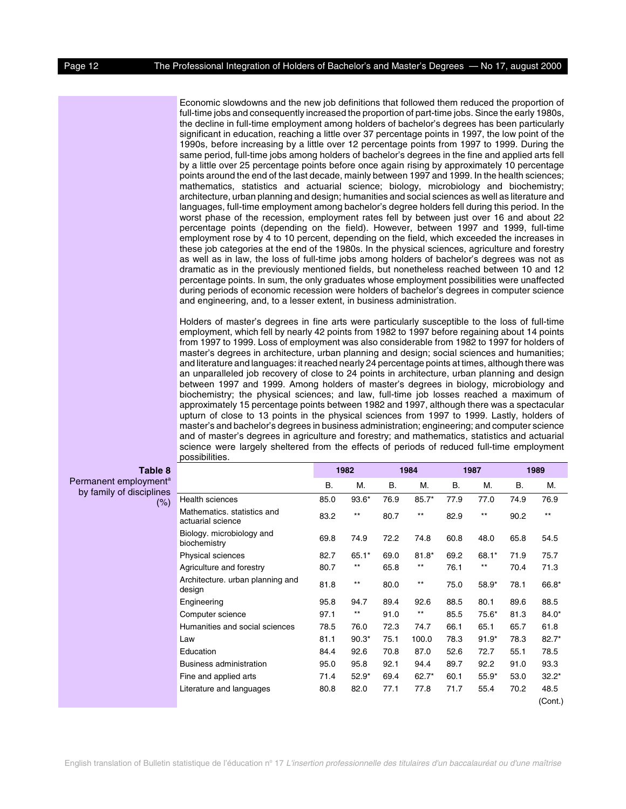Economic slowdowns and the new job definitions that followed them reduced the proportion of full-time jobs and consequently increased the proportion of part-time jobs. Since the early 1980s, the decline in full-time employment among holders of bachelor's degrees has been particularly significant in education, reaching a little over 37 percentage points in 1997, the low point of the 1990s, before increasing by a little over 12 percentage points from 1997 to 1999. During the same period, full-time jobs among holders of bachelor's degrees in the fine and applied arts fell by a little over 25 percentage points before once again rising by approximately 10 percentage points around the end of the last decade, mainly between 1997 and 1999. In the health sciences; mathematics, statistics and actuarial science; biology, microbiology and biochemistry; architecture, urban planning and design; humanities and social sciences as well as literature and languages, full-time employment among bachelor's degree holders fell during this period. In the worst phase of the recession, employment rates fell by between just over 16 and about 22 percentage points (depending on the field). However, between 1997 and 1999, full-time employment rose by 4 to 10 percent, depending on the field, which exceeded the increases in these job categories at the end of the 1980s. In the physical sciences, agriculture and forestry as well as in law, the loss of full-time jobs among holders of bachelor's degrees was not as dramatic as in the previously mentioned fields, but nonetheless reached between 10 and 12 percentage points. In sum, the only graduates whose employment possibilities were unaffected during periods of economic recession were holders of bachelor's degrees in computer science and engineering, and, to a lesser extent, in business administration.

Holders of master's degrees in fine arts were particularly susceptible to the loss of full-time employment, which fell by nearly 42 points from 1982 to 1997 before regaining about 14 points from 1997 to 1999. Loss of employment was also considerable from 1982 to 1997 for holders of master's degrees in architecture, urban planning and design; social sciences and humanities; and literature and languages: it reached nearly 24 percentage points at times, although there was an unparalleled job recovery of close to 24 points in architecture, urban planning and design between 1997 and 1999. Among holders of master's degrees in biology, microbiology and biochemistry; the physical sciences; and law, full-time job losses reached a maximum of approximately 15 percentage points between 1982 and 1997, although there was a spectacular upturn of close to 13 points in the physical sciences from 1997 to 1999. Lastly, holders of master's and bachelor's degrees in business administration; engineering; and computer science and of master's degrees in agriculture and forestry; and mathematics, statistics and actuarial science were largely sheltered from the effects of periods of reduced full-time employment possibilities.

| Table 8                            |                                                  |           | 1982            |           | 1984            |           | 1987    |           | 1989    |
|------------------------------------|--------------------------------------------------|-----------|-----------------|-----------|-----------------|-----------|---------|-----------|---------|
| Permanent employment <sup>a</sup>  |                                                  | <b>B.</b> | М.              | <b>B.</b> | М.              | <b>B.</b> | М.      | <b>B.</b> | М.      |
| by family of disciplines<br>$(\%)$ | Health sciences                                  | 85.0      | 93.6*           | 76.9      | $85.7*$         | 77.9      | 77.0    | 74.9      | 76.9    |
|                                    | Mathematics, statistics and<br>actuarial science | 83.2      | $***$           | 80.7      | $***$           | 82.9      | $***$   | 90.2      | $***$   |
|                                    | Biology. microbiology and<br>biochemistry        | 69.8      | 74.9            | 72.2      | 74.8            | 60.8      | 48.0    | 65.8      | 54.5    |
|                                    | Physical sciences                                | 82.7      | $65.1*$         | 69.0      | $81.8*$         | 69.2      | $68.1*$ | 71.9      | 75.7    |
|                                    | Agriculture and forestry                         | 80.7      | $***$           | 65.8      | $***$           | 76.1      | $***$   | 70.4      | 71.3    |
|                                    | Architecture. urban planning and<br>design       | 81.8      | $***$           | 80.0      | $^{\star\star}$ | 75.0      | 58.9*   | 78.1      | 66.8*   |
|                                    | Engineering                                      | 95.8      | 94.7            | 89.4      | 92.6            | 88.5      | 80.1    | 89.6      | 88.5    |
|                                    | Computer science                                 | 97.1      | $^{\star\star}$ | 91.0      | $^{\star\star}$ | 85.5      | 75.6*   | 81.3      | $84.0*$ |
|                                    | Humanities and social sciences                   | 78.5      | 76.0            | 72.3      | 74.7            | 66.1      | 65.1    | 65.7      | 61.8    |
|                                    | Law                                              | 81.1      | $90.3*$         | 75.1      | 100.0           | 78.3      | $91.9*$ | 78.3      | $82.7*$ |
|                                    | Education                                        | 84.4      | 92.6            | 70.8      | 87.0            | 52.6      | 72.7    | 55.1      | 78.5    |
|                                    | Business administration                          | 95.0      | 95.8            | 92.1      | 94.4            | 89.7      | 92.2    | 91.0      | 93.3    |
|                                    | Fine and applied arts                            | 71.4      | $52.9*$         | 69.4      | $62.7*$         | 60.1      | $55.9*$ | 53.0      | $32.2*$ |
|                                    | Literature and languages                         | 80.8      | 82.0            | 77.1      | 77.8            | 71.7      | 55.4    | 70.2      | 48.5    |
|                                    |                                                  |           |                 |           |                 |           |         |           | (Cont.) |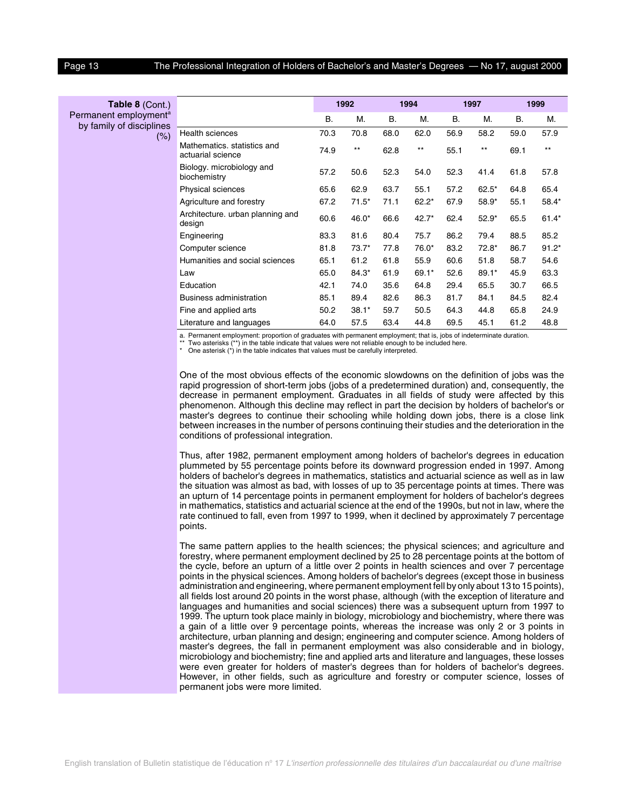| Table 8 (Cont.)                                               |                                                  |           | 1992            |           | 1994    |           | 1997         |           | 1999    |
|---------------------------------------------------------------|--------------------------------------------------|-----------|-----------------|-----------|---------|-----------|--------------|-----------|---------|
| Permanent employment <sup>a</sup><br>by family of disciplines |                                                  | <b>B.</b> | М.              | <b>B.</b> | M.      | <b>B.</b> | М.           | <b>B.</b> | М.      |
| $(\%)$                                                        | <b>Health sciences</b>                           | 70.3      | 70.8            | 68.0      | 62.0    | 56.9      | 58.2         | 59.0      | 57.9    |
|                                                               | Mathematics, statistics and<br>actuarial science | 74.9      | $^{\star\star}$ | 62.8      | $***$   | 55.1      | $\star\star$ | 69.1      | $***$   |
|                                                               | Biology. microbiology and<br>biochemistry        | 57.2      | 50.6            | 52.3      | 54.0    | 52.3      | 41.4         | 61.8      | 57.8    |
|                                                               | Physical sciences                                | 65.6      | 62.9            | 63.7      | 55.1    | 57.2      | $62.5*$      | 64.8      | 65.4    |
|                                                               | Agriculture and forestry                         | 67.2      | $71.5*$         | 71.1      | $62.2*$ | 67.9      | $58.9*$      | 55.1      | 58.4*   |
|                                                               | Architecture. urban planning and<br>design       | 60.6      | 46.0*           | 66.6      | 42.7*   | 62.4      | $52.9*$      | 65.5      | $61.4*$ |
|                                                               | Engineering                                      | 83.3      | 81.6            | 80.4      | 75.7    | 86.2      | 79.4         | 88.5      | 85.2    |
|                                                               | Computer science                                 | 81.8      | $73.7*$         | 77.8      | $76.0*$ | 83.2      | $72.8*$      | 86.7      | $91.2*$ |
|                                                               | Humanities and social sciences                   | 65.1      | 61.2            | 61.8      | 55.9    | 60.6      | 51.8         | 58.7      | 54.6    |
|                                                               | Law                                              | 65.0      | 84.3*           | 61.9      | $69.1*$ | 52.6      | $89.1*$      | 45.9      | 63.3    |
|                                                               | Education                                        | 42.1      | 74.0            | 35.6      | 64.8    | 29.4      | 65.5         | 30.7      | 66.5    |
|                                                               | Business administration                          | 85.1      | 89.4            | 82.6      | 86.3    | 81.7      | 84.1         | 84.5      | 82.4    |
|                                                               | Fine and applied arts                            | 50.2      | $38.1*$         | 59.7      | 50.5    | 64.3      | 44.8         | 65.8      | 24.9    |
|                                                               | Literature and languages                         | 64.0      | 57.5            | 63.4      | 44.8    | 69.5      | 45.1         | 61.2      | 48.8    |
|                                                               |                                                  |           |                 |           |         |           |              |           |         |

a. Permanent employment: proportion of graduates with permanent employment; that is, jobs of indeterminate duration.

Two asterisks  $(**)$  in the table indicate that values were not reliable enough to be included here.

\* One asterisk (\*) in the table indicates that values must be carefully interpreted.

One of the most obvious effects of the economic slowdowns on the definition of jobs was the rapid progression of short-term jobs (jobs of a predetermined duration) and, consequently, the decrease in permanent employment. Graduates in all fields of study were affected by this phenomenon. Although this decline may reflect in part the decision by holders of bachelor's or master's degrees to continue their schooling while holding down jobs, there is a close link between increases in the number of persons continuing their studies and the deterioration in the conditions of professional integration.

Thus, after 1982, permanent employment among holders of bachelor's degrees in education plummeted by 55 percentage points before its downward progression ended in 1997. Among holders of bachelor's degrees in mathematics, statistics and actuarial science as well as in law the situation was almost as bad, with losses of up to 35 percentage points at times. There was an upturn of 14 percentage points in permanent employment for holders of bachelor's degrees in mathematics, statistics and actuarial science at the end of the 1990s, but not in law, where the rate continued to fall, even from 1997 to 1999, when it declined by approximately 7 percentage points.

The same pattern applies to the health sciences; the physical sciences; and agriculture and forestry, where permanent employment declined by 25 to 28 percentage points at the bottom of the cycle, before an upturn of a little over 2 points in health sciences and over 7 percentage points in the physical sciences. Among holders of bachelor's degrees (except those in business administration and engineering, where permanent employment fell by only about 13 to 15 points), all fields lost around 20 points in the worst phase, although (with the exception of literature and languages and humanities and social sciences) there was a subsequent upturn from 1997 to 1999. The upturn took place mainly in biology, microbiology and biochemistry, where there was a gain of a little over 9 percentage points, whereas the increase was only 2 or 3 points in architecture, urban planning and design; engineering and computer science. Among holders of master's degrees, the fall in permanent employment was also considerable and in biology, microbiology and biochemistry; fine and applied arts and literature and languages, these losses were even greater for holders of master's degrees than for holders of bachelor's degrees. However, in other fields, such as agriculture and forestry or computer science, losses of permanent jobs were more limited.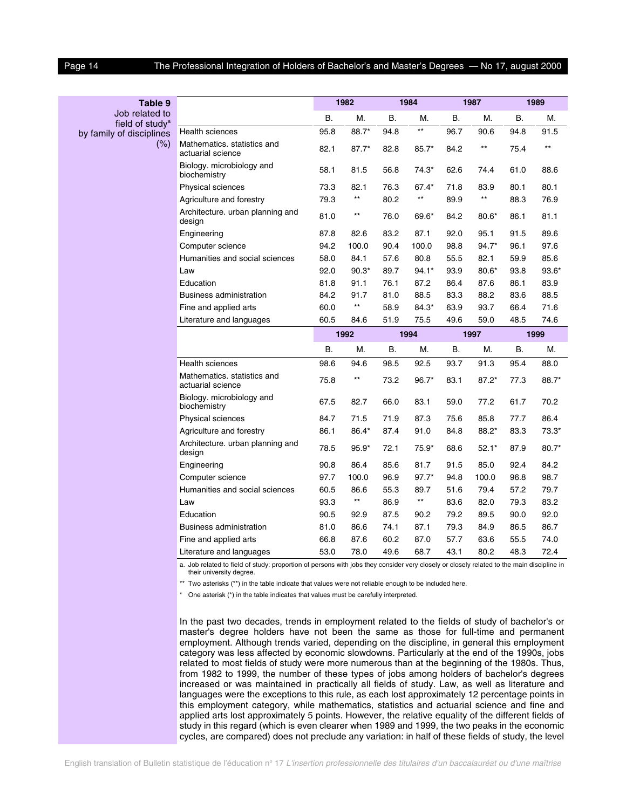by family of discipli

#### Page 14 The Professional Integration of Holders of Bachelor's and Master's Degrees — No 17, august 2000

| Table 9                                       |                                                  |      | 1982            |      | 1984            |           | 1987            |      | 1989    |
|-----------------------------------------------|--------------------------------------------------|------|-----------------|------|-----------------|-----------|-----------------|------|---------|
| Job related to<br>field of studv <sup>a</sup> |                                                  | В.   | М.              | В.   | М.              | <b>B.</b> | М.              | В.   | М.      |
| of disciplines                                | Health sciences                                  | 95.8 | 88.7*           | 94.8 | $^{\star\star}$ | 96.7      | 90.6            | 94.8 | 91.5    |
| (%)                                           | Mathematics. statistics and<br>actuarial science | 82.1 | $87.7*$         | 82.8 | $85.7*$         | 84.2      | **              | 75.4 | $***$   |
|                                               | Biology. microbiology and<br>biochemistry        | 58.1 | 81.5            | 56.8 | $74.3*$         | 62.6      | 74.4            | 61.0 | 88.6    |
|                                               | Physical sciences                                | 73.3 | 82.1            | 76.3 | 67.4*           | 71.8      | 83.9            | 80.1 | 80.1    |
|                                               | Agriculture and forestry                         | 79.3 | $***$           | 80.2 | $^{\star\star}$ | 89.9      | $^{\star\star}$ | 88.3 | 76.9    |
|                                               | Architecture. urban planning and<br>design       | 81.0 | $***$           | 76.0 | 69.6*           | 84.2      | $80.6*$         | 86.1 | 81.1    |
|                                               | Engineering                                      | 87.8 | 82.6            | 83.2 | 87.1            | 92.0      | 95.1            | 91.5 | 89.6    |
|                                               | Computer science                                 | 94.2 | 100.0           | 90.4 | 100.0           | 98.8      | $94.7*$         | 96.1 | 97.6    |
|                                               | Humanities and social sciences                   | 58.0 | 84.1            | 57.6 | 80.8            | 55.5      | 82.1            | 59.9 | 85.6    |
|                                               | Law                                              | 92.0 | $90.3*$         | 89.7 | $94.1*$         | 93.9      | $80.6*$         | 93.8 | $93.6*$ |
|                                               | Education                                        | 81.8 | 91.1            | 76.1 | 87.2            | 86.4      | 87.6            | 86.1 | 83.9    |
|                                               | Business administration                          | 84.2 | 91.7            | 81.0 | 88.5            | 83.3      | 88.2            | 83.6 | 88.5    |
|                                               | Fine and applied arts                            | 60.0 | $^{\star\star}$ | 58.9 | 84.3*           | 63.9      | 93.7            | 66.4 | 71.6    |
|                                               | Literature and languages                         | 60.5 | 84.6            | 51.9 | 75.5            | 49.6      | 59.0            | 48.5 | 74.6    |
|                                               |                                                  |      | 1992            |      | 1994            |           | 1997            |      | 1999    |
|                                               |                                                  | В.   | М.              | В.   | М.              | В.        | М.              | В.   | М.      |
|                                               | <b>Health sciences</b>                           | 98.6 | 94.6            | 98.5 | 92.5            | 93.7      | 91.3            | 95.4 | 88.0    |
|                                               | Mathematics. statistics and<br>actuarial science | 75.8 | $***$           | 73.2 | $96.7*$         | 83.1      | $87.2*$         | 77.3 | 88.7*   |
|                                               | Biology. microbiology and<br>biochemistry        | 67.5 | 82.7            | 66.0 | 83.1            | 59.0      | 77.2            | 61.7 | 70.2    |
|                                               | Physical sciences                                | 84.7 | 71.5            | 71.9 | 87.3            | 75.6      | 85.8            | 77.7 | 86.4    |
|                                               | Agriculture and forestry                         | 86.1 | 86.4*           | 87.4 | 91.0            | 84.8      | 88.2*           | 83.3 | $73.3*$ |
|                                               | Architecture. urban planning and<br>design       | 78.5 | $95.9*$         | 72.1 | $75.9*$         | 68.6      | $52.1*$         | 87.9 | $80.7*$ |
|                                               | Engineering                                      | 90.8 | 86.4            | 85.6 | 81.7            | 91.5      | 85.0            | 92.4 | 84.2    |
|                                               | Computer science                                 | 97.7 | 100.0           | 96.9 | $97.7*$         | 94.8      | 100.0           | 96.8 | 98.7    |
|                                               | Humanities and social sciences                   | 60.5 | 86.6            | 55.3 | 89.7            | 51.6      | 79.4            | 57.2 | 79.7    |
|                                               | Law                                              | 93.3 | $^{\star\star}$ | 86.9 | $^{\star\star}$ | 83.6      | 82.0            | 79.3 | 83.2    |
|                                               | Education                                        | 90.5 | 92.9            | 87.5 | 90.2            | 79.2      | 89.5            | 90.0 | 92.0    |
|                                               | <b>Business administration</b>                   | 81.0 | 86.6            | 74.1 | 87.1            | 79.3      | 84.9            | 86.5 | 86.7    |
|                                               | Fine and applied arts                            | 66.8 | 87.6            | 60.2 | 87.0            | 57.7      | 63.6            | 55.5 | 74.0    |
|                                               | Literature and languages                         | 53.0 | 78.0            | 49.6 | 68.7            | 43.1      | 80.2            | 48.3 | 72.4    |
|                                               |                                                  |      |                 |      |                 |           |                 |      |         |

a. Job related to field of study: proportion of persons with jobs they consider very closely or closely related to the main discipline in their university degree.

\*\* Two asterisks (\*\*) in the table indicate that values were not reliable enough to be included here.

\* One asterisk (\*) in the table indicates that values must be carefully interpreted.

In the past two decades, trends in employment related to the fields of study of bachelor's or master's degree holders have not been the same as those for full-time and permanent employment. Although trends varied, depending on the discipline, in general this employment category was less affected by economic slowdowns. Particularly at the end of the 1990s, jobs related to most fields of study were more numerous than at the beginning of the 1980s. Thus, from 1982 to 1999, the number of these types of jobs among holders of bachelor's degrees increased or was maintained in practically all fields of study. Law, as well as literature and languages were the exceptions to this rule, as each lost approximately 12 percentage points in this employment category, while mathematics, statistics and actuarial science and fine and applied arts lost approximately 5 points. However, the relative equality of the different fields of study in this regard (which is even clearer when 1989 and 1999, the two peaks in the economic cycles, are compared) does not preclude any variation: in half of these fields of study, the level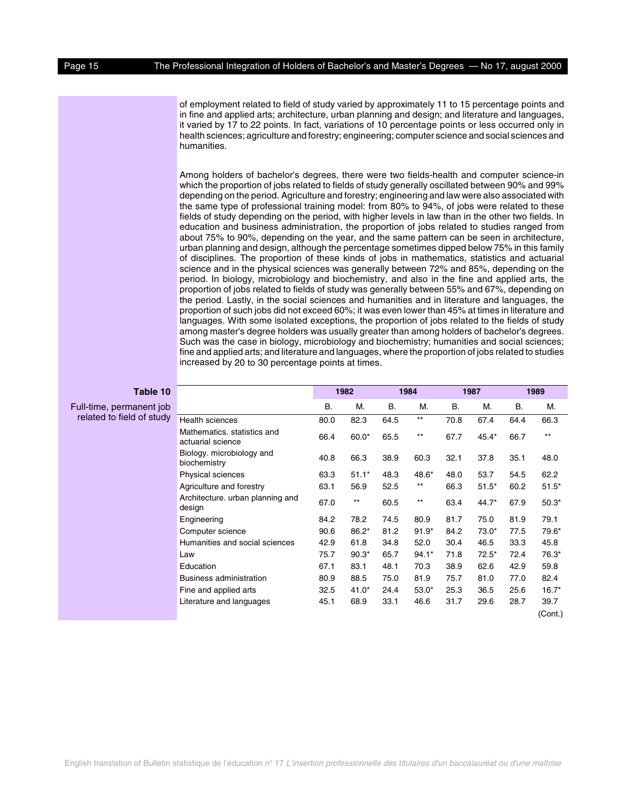of employment related to field of study varied by approximately 11 to 15 percentage points and in fine and applied arts; architecture, urban planning and design; and literature and languages, it varied by 17 to 22 points. In fact, variations of 10 percentage points or less occurred only in health sciences; agriculture and forestry; engineering; computer science and social sciences and humanities.

Among holders of bachelor's degrees, there were two fields-health and computer science-in which the proportion of jobs related to fields of study generally oscillated between 90% and 99% depending on the period. Agriculture and forestry; engineering and law were also associated with the same type of professional training model: from 80% to 94%, of jobs were related to these fields of study depending on the period, with higher levels in law than in the other two fields. In education and business administration, the proportion of jobs related to studies ranged from about 75% to 90%, depending on the year, and the same pattern can be seen in architecture, urban planning and design, although the percentage sometimes dipped below 75% in this family of disciplines. The proportion of these kinds of jobs in mathematics, statistics and actuarial science and in the physical sciences was generally between 72% and 85%, depending on the period. In biology, microbiology and biochemistry, and also in the fine and applied arts, the proportion of jobs related to fields of study was generally between 55% and 67%, depending on the period. Lastly, in the social sciences and humanities and in literature and languages, the proportion of such jobs did not exceed 60%; it was even lower than 45% at times in literature and languages. With some isolated exceptions, the proportion of jobs related to the fields of study among master's degree holders was usually greater than among holders of bachelor's degrees. Such was the case in biology, microbiology and biochemistry; humanities and social sciences; fine and applied arts; and literature and languages, where the proportion of jobs related to studies increased by 20 to 30 percentage points at times.

| Table 10                  |                                                  |           | 1982    |           | 1984            |           | 1987    |      | 1989    |
|---------------------------|--------------------------------------------------|-----------|---------|-----------|-----------------|-----------|---------|------|---------|
| Full-time, permanent job  |                                                  | <b>B.</b> | М.      | <b>B.</b> | М.              | <b>B.</b> | М.      | В.   | М.      |
| related to field of study | Health sciences                                  | 80.0      | 82.3    | 64.5      | $^{\star\star}$ | 70.8      | 67.4    | 64.4 | 66.3    |
|                           | Mathematics, statistics and<br>actuarial science | 66.4      | $60.0*$ | 65.5      | $***$           | 67.7      | $45.4*$ | 66.7 | $***$   |
|                           | Biology. microbiology and<br>biochemistry        | 40.8      | 66.3    | 38.9      | 60.3            | 32.1      | 37.8    | 35.1 | 48.0    |
|                           | <b>Physical sciences</b>                         | 63.3      | $51.1*$ | 48.3      | 48.6*           | 48.0      | 53.7    | 54.5 | 62.2    |
|                           | Agriculture and forestry                         | 63.1      | 56.9    | 52.5      | $***$           | 66.3      | $51.5*$ | 60.2 | $51.5*$ |
|                           | Architecture. urban planning and<br>design       | 67.0      | $***$   | 60.5      | $^{\star\star}$ | 63.4      | 44.7*   | 67.9 | $50.3*$ |
|                           | Engineering                                      | 84.2      | 78.2    | 74.5      | 80.9            | 81.7      | 75.0    | 81.9 | 79.1    |
|                           | Computer science                                 | 90.6      | $86.2*$ | 81.2      | $91.9*$         | 84.2      | $73.0*$ | 77.5 | 79.6*   |
|                           | Humanities and social sciences                   | 42.9      | 61.8    | 34.8      | 52.0            | 30.4      | 46.5    | 33.3 | 45.8    |
|                           | Law                                              | 75.7      | $90.3*$ | 65.7      | $94.1*$         | 71.8      | $72.5*$ | 72.4 | 76.3*   |
|                           | Education                                        | 67.1      | 83.1    | 48.1      | 70.3            | 38.9      | 62.6    | 42.9 | 59.8    |
|                           | <b>Business administration</b>                   | 80.9      | 88.5    | 75.0      | 81.9            | 75.7      | 81.0    | 77.0 | 82.4    |
|                           | Fine and applied arts                            | 32.5      | $41.0*$ | 24.4      | $53.0*$         | 25.3      | 36.5    | 25.6 | $16.7*$ |
|                           | Literature and languages                         | 45.1      | 68.9    | 33.1      | 46.6            | 31.7      | 29.6    | 28.7 | 39.7    |
|                           |                                                  |           |         |           |                 |           |         |      | (Cont.) |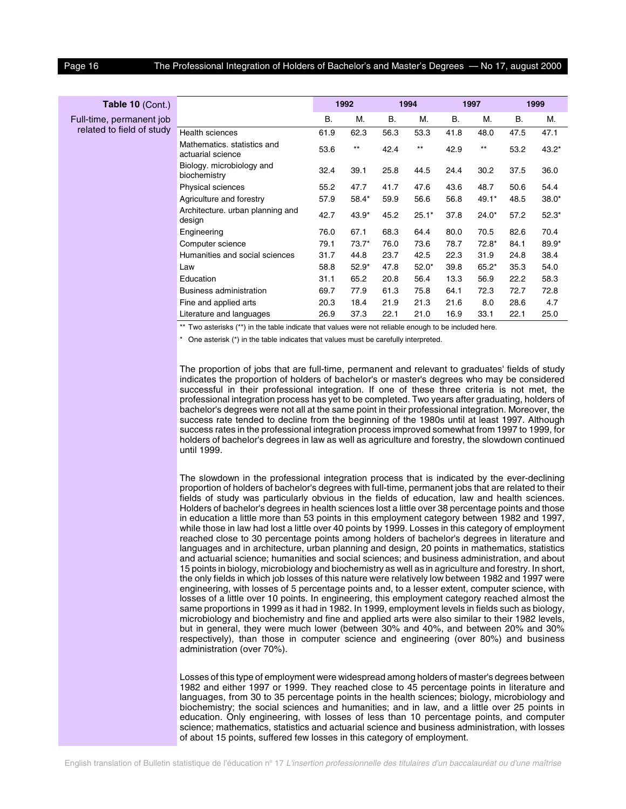| Table 10 (Cont.)          |                                                  |      | 1992    |           | 1994    |           | 1997    |           | 1999    |
|---------------------------|--------------------------------------------------|------|---------|-----------|---------|-----------|---------|-----------|---------|
| Full-time, permanent job  |                                                  | Β.   | М.      | <b>B.</b> | М.      | <b>B.</b> | M.      | <b>B.</b> | M.      |
| related to field of study | <b>Health sciences</b>                           | 61.9 | 62.3    | 56.3      | 53.3    | 41.8      | 48.0    | 47.5      | 47.1    |
|                           | Mathematics, statistics and<br>actuarial science | 53.6 | $***$   | 42.4      | $***$   | 42.9      | $***$   | 53.2      | $43.2*$ |
|                           | Biology. microbiology and<br>biochemistry        | 32.4 | 39.1    | 25.8      | 44.5    | 24.4      | 30.2    | 37.5      | 36.0    |
|                           | Physical sciences                                | 55.2 | 47.7    | 41.7      | 47.6    | 43.6      | 48.7    | 50.6      | 54.4    |
|                           | Agriculture and forestry                         | 57.9 | 58.4*   | 59.9      | 56.6    | 56.8      | $49.1*$ | 48.5      | $38.0*$ |
|                           | Architecture. urban planning and<br>design       | 42.7 | $43.9*$ | 45.2      | $25.1*$ | 37.8      | $24.0*$ | 57.2      | $52.3*$ |
|                           | Engineering                                      | 76.0 | 67.1    | 68.3      | 64.4    | 80.0      | 70.5    | 82.6      | 70.4    |
|                           | Computer science                                 | 79.1 | $73.7*$ | 76.0      | 73.6    | 78.7      | $72.8*$ | 84.1      | 89.9*   |
|                           | Humanities and social sciences                   | 31.7 | 44.8    | 23.7      | 42.5    | 22.3      | 31.9    | 24.8      | 38.4    |
|                           | Law                                              | 58.8 | $52.9*$ | 47.8      | $52.0*$ | 39.8      | $65.2*$ | 35.3      | 54.0    |
|                           | Education                                        | 31.1 | 65.2    | 20.8      | 56.4    | 13.3      | 56.9    | 22.2      | 58.3    |
|                           | Business administration                          | 69.7 | 77.9    | 61.3      | 75.8    | 64.1      | 72.3    | 72.7      | 72.8    |
|                           | Fine and applied arts                            | 20.3 | 18.4    | 21.9      | 21.3    | 21.6      | 8.0     | 28.6      | 4.7     |
|                           | Literature and languages                         | 26.9 | 37.3    | 22.1      | 21.0    | 16.9      | 33.1    | 22.1      | 25.0    |

\*\* Two asterisks (\*\*) in the table indicate that values were not reliable enough to be included here.

\* One asterisk (\*) in the table indicates that values must be carefully interpreted.

The proportion of jobs that are full-time, permanent and relevant to graduates' fields of study indicates the proportion of holders of bachelor's or master's degrees who may be considered successful in their professional integration. If one of these three criteria is not met, the professional integration process has yet to be completed. Two years after graduating, holders of bachelor's degrees were not all at the same point in their professional integration. Moreover, the success rate tended to decline from the beginning of the 1980s until at least 1997. Although success rates in the professional integration process improved somewhat from 1997 to 1999, for holders of bachelor's degrees in law as well as agriculture and forestry, the slowdown continued until 1999.

The slowdown in the professional integration process that is indicated by the ever-declining proportion of holders of bachelor's degrees with full-time, permanent jobs that are related to their fields of study was particularly obvious in the fields of education, law and health sciences. Holders of bachelor's degrees in health sciences lost a little over 38 percentage points and those in education a little more than 53 points in this employment category between 1982 and 1997, while those in law had lost a little over 40 points by 1999. Losses in this category of employment reached close to 30 percentage points among holders of bachelor's degrees in literature and languages and in architecture, urban planning and design, 20 points in mathematics, statistics and actuarial science; humanities and social sciences; and business administration, and about 15 points in biology, microbiology and biochemistry as well as in agriculture and forestry. In short, the only fields in which job losses of this nature were relatively low between 1982 and 1997 were engineering, with losses of 5 percentage points and, to a lesser extent, computer science, with losses of a little over 10 points. In engineering, this employment category reached almost the same proportions in 1999 as it had in 1982. In 1999, employment levels in fields such as biology, microbiology and biochemistry and fine and applied arts were also similar to their 1982 levels, but in general, they were much lower (between 30% and 40%, and between 20% and 30% respectively), than those in computer science and engineering (over 80%) and business administration (over 70%).

Losses of this type of employment were widespread among holders of master's degrees between 1982 and either 1997 or 1999. They reached close to 45 percentage points in literature and languages, from 30 to 35 percentage points in the health sciences; biology, microbiology and biochemistry; the social sciences and humanities; and in law, and a little over 25 points in education. Only engineering, with losses of less than 10 percentage points, and computer science; mathematics, statistics and actuarial science and business administration, with losses of about 15 points, suffered few losses in this category of employment.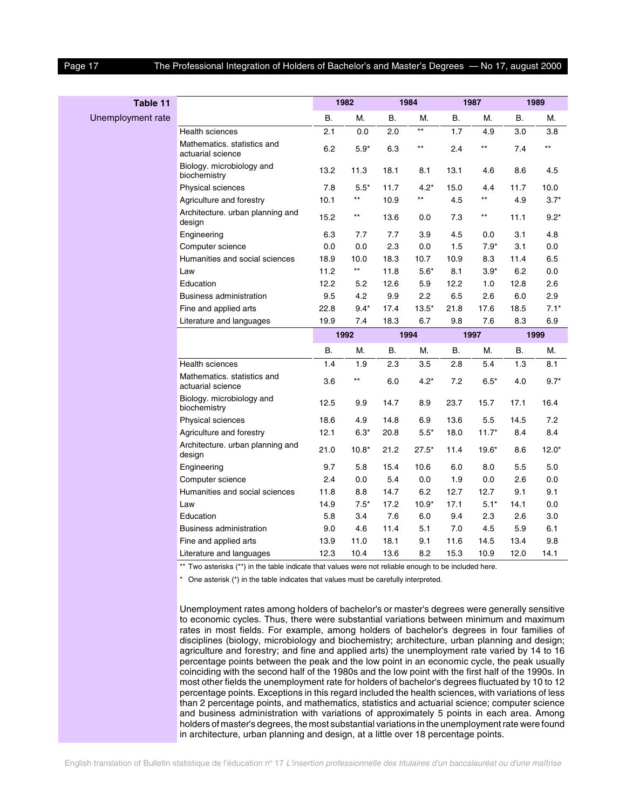#### Page 17 The Professional Integration of Holders of Bachelor's and Master's Degrees — No 17, august 2000

| Table 11          |                                                  |      | 1982            |           | 1984            |           | 1987            |           | 1989       |  |
|-------------------|--------------------------------------------------|------|-----------------|-----------|-----------------|-----------|-----------------|-----------|------------|--|
| Unemployment rate |                                                  | Β.   | М.              | <b>B.</b> | М.              | <b>B.</b> | М.              | <b>B.</b> | М.         |  |
|                   | Health sciences                                  | 2.1  | 0.0             | 2.0       | $^{\star\star}$ | 1.7       | 4.9             | 3.0       | 3.8        |  |
|                   | Mathematics. statistics and<br>actuarial science | 6.2  | $5.9*$          | 6.3       | $^{\star\star}$ | 2.4       | $^{\star\star}$ | 7.4       | $***$      |  |
|                   | Biology. microbiology and<br>biochemistry        | 13.2 | 11.3            | 18.1      | 8.1             | 13.1      | 4.6             | 8.6       | 4.5        |  |
|                   | Physical sciences                                | 7.8  | $5.5*$          | 11.7      | $4.2*$          | 15.0      | 4.4             | 11.7      | 10.0       |  |
|                   | Agriculture and forestry                         | 10.1 | $\star\star$    | 10.9      | $^{\star\star}$ | 4.5       | $***$           | 4.9       | $3.7*$     |  |
|                   | Architecture. urban planning and<br>design       | 15.2 | $***$           | 13.6      | 0.0             | 7.3       | $^{\star\star}$ | 11.1      | $9.2*$     |  |
|                   | Engineering                                      | 6.3  | 7.7             | 7.7       | 3.9             | 4.5       | 0.0             | 3.1       | 4.8        |  |
|                   | Computer science                                 | 0.0  | 0.0             | 2.3       | 0.0             | 1.5       | $7.9*$          | 3.1       | 0.0        |  |
|                   | Humanities and social sciences                   | 18.9 | 10.0            | 18.3      | 10.7            | 10.9      | 8.3             | 11.4      | 6.5        |  |
|                   | Law                                              | 11.2 | $^{\star\star}$ | 11.8      | $5.6*$          | 8.1       | $3.9*$          | 6.2       | 0.0        |  |
|                   | Education                                        | 12.2 | 5.2             | 12.6      | 5.9             | 12.2      | 1.0             | 12.8      | 2.6        |  |
|                   | <b>Business administration</b>                   | 9.5  | 4.2             | 9.9       | 2.2             | 6.5       | 2.6             | 6.0       | 2.9        |  |
|                   | Fine and applied arts                            | 22.8 | $9.4*$          | 17.4      | $13.5*$         | 21.8      | 17.6            | 18.5      | $7.1*$     |  |
|                   | Literature and languages                         | 19.9 | 7.4             | 18.3      | 6.7             | 9.8       | 7.6             | 8.3       | 6.9        |  |
|                   |                                                  |      | 1992            |           | 1994            |           | 1997            | 1999      |            |  |
|                   |                                                  | В.   | М.              | В.        | М.              | <b>B.</b> | М.              | В.        | М.         |  |
|                   | <b>Health sciences</b>                           | 1.4  | 1.9             | 2.3       | 3.5             | 2.8       | 5.4             | 1.3       | 8.1        |  |
|                   | Mathematics. statistics and<br>actuarial science | 3.6  | $^{\star\star}$ | 6.0       | $4.2*$          | 7.2       | $6.5*$          | 4.0       | $9.7*$     |  |
|                   | Biology. microbiology and<br>biochemistry        | 12.5 | 9.9             | 14.7      | 8.9             | 23.7      | 15.7            | 17.1      | 16.4       |  |
|                   | Physical sciences                                | 18.6 | 4.9             | 14.8      | 6.9             | 13.6      | 5.5             | 14.5      | 7.2        |  |
|                   | Agriculture and forestry                         | 12.1 | $6.3*$          | 20.8      | $5.5*$          | 18.0      | $11.7*$         | 8.4       | 8.4        |  |
|                   | Architecture. urban planning and<br>design       | 21.0 | $10.8*$         | 21.2      | $27.5*$         | 11.4      | $19.6*$         | 8.6       | $12.0*$    |  |
|                   | Engineering                                      | 9.7  | 5.8             | 15.4      | 10.6            | 6.0       | 8.0             | 5.5       | 5.0        |  |
|                   | Computer science                                 | 2.4  | 0.0             | 5.4       | 0.0             | 1.9       | 0.0             | 2.6       | 0.0        |  |
|                   | Humanities and social sciences                   | 11.8 | 8.8             | 14.7      | 6.2             | 12.7      | 12.7            | 9.1       | 9.1        |  |
|                   | Law                                              | 14.9 | $7.5*$          | 17.2      | $10.9*$         | 17.1      | $5.1*$          | 14.1      | 0.0        |  |
|                   |                                                  |      |                 |           | 6.0             | 9.4       | 2.3             | 2.6       | 3.0        |  |
|                   | Education                                        | 5.8  | 3.4             | 7.6       |                 |           |                 |           |            |  |
|                   | <b>Business administration</b>                   | 9.0  | 4.6             | 11.4      | 5.1             | 7.0       | 4.5             | 5.9       |            |  |
|                   | Fine and applied arts                            | 13.9 | 11.0            | 18.1      | 9.1             | 11.6      | 14.5            | 13.4      | 6.1<br>9.8 |  |

\* One asterisk (\*) in the table indicates that values must be carefully interpreted.

Unemployment rates among holders of bachelor's or master's degrees were generally sensitive to economic cycles. Thus, there were substantial variations between minimum and maximum rates in most fields. For example, among holders of bachelor's degrees in four families of disciplines (biology, microbiology and biochemistry; architecture, urban planning and design; agriculture and forestry; and fine and applied arts) the unemployment rate varied by 14 to 16 percentage points between the peak and the low point in an economic cycle, the peak usually coinciding with the second half of the 1980s and the low point with the first half of the 1990s. In most other fields the unemployment rate for holders of bachelor's degrees fluctuated by 10 to 12 percentage points. Exceptions in this regard included the health sciences, with variations of less than 2 percentage points, and mathematics, statistics and actuarial science; computer science and business administration with variations of approximately 5 points in each area. Among holders of master's degrees, the most substantial variations in the unemployment rate were found in architecture, urban planning and design, at a little over 18 percentage points.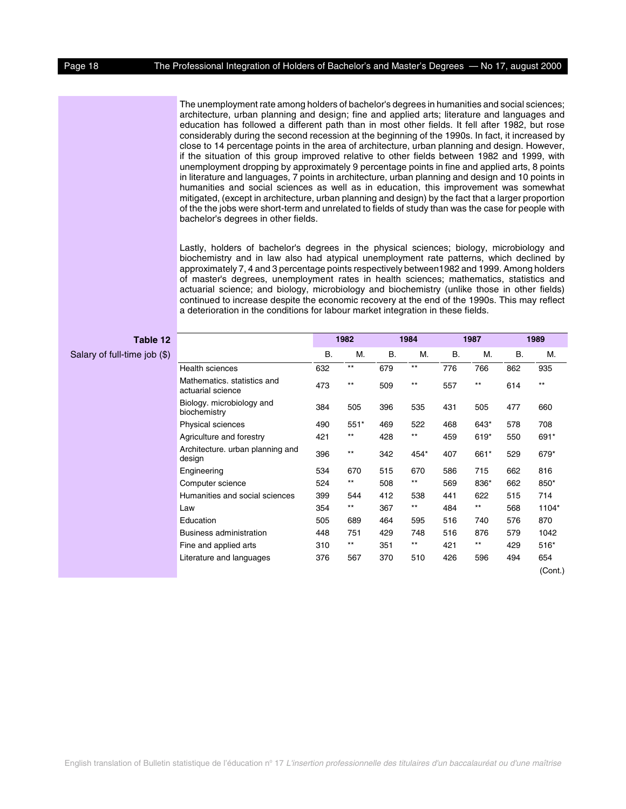The unemployment rate among holders of bachelor's degrees in humanities and social sciences; architecture, urban planning and design; fine and applied arts; literature and languages and education has followed a different path than in most other fields. It fell after 1982, but rose considerably during the second recession at the beginning of the 1990s. In fact, it increased by close to 14 percentage points in the area of architecture, urban planning and design. However, if the situation of this group improved relative to other fields between 1982 and 1999, with unemployment dropping by approximately 9 percentage points in fine and applied arts, 8 points in literature and languages, 7 points in architecture, urban planning and design and 10 points in humanities and social sciences as well as in education, this improvement was somewhat mitigated, (except in architecture, urban planning and design) by the fact that a larger proportion of the the jobs were short-term and unrelated to fields of study than was the case for people with bachelor's degrees in other fields.

Lastly, holders of bachelor's degrees in the physical sciences; biology, microbiology and biochemistry and in law also had atypical unemployment rate patterns, which declined by approximately 7, 4 and 3 percentage points respectively between1982 and 1999. Among holders of master's degrees, unemployment rates in health sciences; mathematics, statistics and actuarial science; and biology, microbiology and biochemistry (unlike those in other fields) continued to increase despite the economic recovery at the end of the 1990s. This may reflect a deterioration in the conditions for labour market integration in these fields.

| Table 12                     |                                                  |           | 1982            |           | 1984            |     | 1987            |           | 1989    |
|------------------------------|--------------------------------------------------|-----------|-----------------|-----------|-----------------|-----|-----------------|-----------|---------|
| Salary of full-time job (\$) |                                                  | <b>B.</b> | M.              | <b>B.</b> | M.              | Β.  | М.              | <b>B.</b> | M.      |
|                              | <b>Health sciences</b>                           | 632       | $***$           | 679       | $^{\star\star}$ | 776 | 766             | 862       | 935     |
|                              | Mathematics, statistics and<br>actuarial science | 473       | $***$           | 509       | $***$           | 557 | $***$           | 614       | $***$   |
|                              | Biology. microbiology and<br>biochemistry        | 384       | 505             | 396       | 535             | 431 | 505             | 477       | 660     |
|                              | Physical sciences                                | 490       | $551*$          | 469       | 522             | 468 | 643*            | 578       | 708     |
|                              | Agriculture and forestry                         | 421       | $***$           | 428       | $^{\star\star}$ | 459 | 619*            | 550       | 691*    |
|                              | Architecture. urban planning and<br>design       | 396       | $^{\star\star}$ | 342       | 454*            | 407 | 661*            | 529       | 679*    |
|                              | Engineering                                      | 534       | 670             | 515       | 670             | 586 | 715             | 662       | 816     |
|                              | Computer science                                 | 524       | $***$           | 508       | $***$           | 569 | 836*            | 662       | 850*    |
|                              | Humanities and social sciences                   | 399       | 544             | 412       | 538             | 441 | 622             | 515       | 714     |
|                              | Law                                              | 354       | $***$           | 367       | $^{\star\star}$ | 484 | $^{\star\star}$ | 568       | 1104*   |
|                              | Education                                        | 505       | 689             | 464       | 595             | 516 | 740             | 576       | 870     |
|                              | <b>Business administration</b>                   | 448       | 751             | 429       | 748             | 516 | 876             | 579       | 1042    |
|                              | Fine and applied arts                            | 310       | $***$           | 351       | $***$           | 421 | $***$           | 429       | $516*$  |
|                              | Literature and languages                         | 376       | 567             | 370       | 510             | 426 | 596             | 494       | 654     |
|                              |                                                  |           |                 |           |                 |     |                 |           | (Cont.) |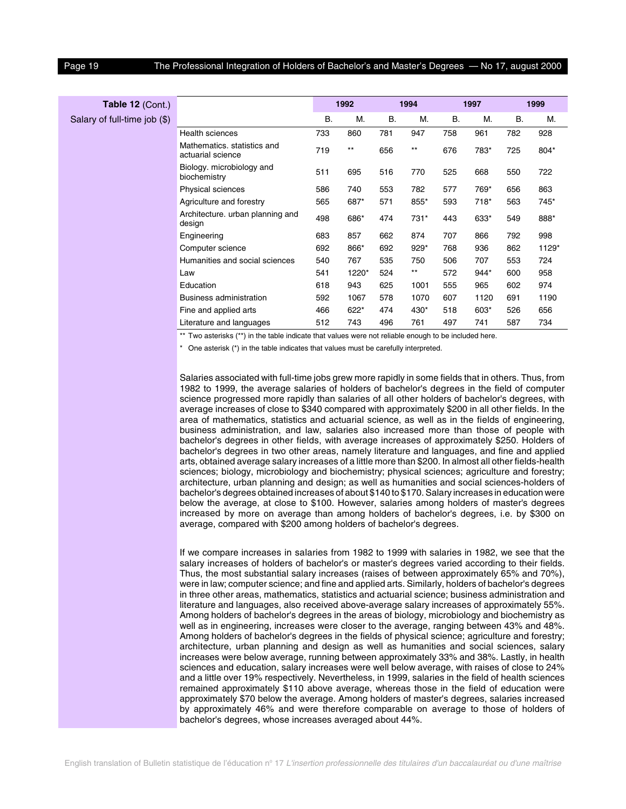|                                                  |              |                 |           |                 |      |        |           | 1999  |
|--------------------------------------------------|--------------|-----------------|-----------|-----------------|------|--------|-----------|-------|
|                                                  | В.           | М.              | <b>B.</b> | M.              | В.   | М.     | <b>B.</b> | M.    |
| <b>Health sciences</b>                           | 733          | 860             | 781       | 947             | 758  | 961    | 782       | 928   |
| Mathematics, statistics and<br>actuarial science | 719          | $^{\star\star}$ | 656       | $^{\star\star}$ | 676  | 783*   | 725       | 804*  |
| Biology. microbiology and<br>biochemistry        | 511          | 695             | 516       | 770             | 525  | 668    | 550       | 722   |
| Physical sciences                                | 586          | 740             | 553       | 782             | 577  | 769*   | 656       | 863   |
| Agriculture and forestry                         | 565          | 687*            | 571       | 855*            | 593  | 718*   | 563       | 745*  |
| Architecture. urban planning and<br>design       | 498          | 686*            | 474       | 731*            | 443  | 633*   | 549       | 888*  |
| Engineering                                      | 683          | 857             | 662       | 874             | 707  | 866    | 792       | 998   |
| Computer science                                 | 692          | 866*            | 692       | $929*$          | 768  | 936    | 862       | 1129* |
| Humanities and social sciences                   | 540          | 767             | 535       | 750             | 506  | 707    | 553       | 724   |
| Law                                              | 541          | 1220*           | 524       | $***$           | 572  | 944*   | 600       | 958   |
| Education                                        | 618          | 943             | 625       | 1001            | 555  | 965    | 602       | 974   |
| <b>Business administration</b>                   | 592          | 1067            | 578       | 1070            | 607  | 1120   | 691       | 1190  |
| Fine and applied arts                            | 466          | 622*            | 474       | 430*            | 518  | $603*$ | 526       | 656   |
| Literature and languages                         | 512          | 743             | 496       | 761             | 497  | 741    | 587       | 734   |
|                                                  | <del>.</del> |                 | 1992      |                 | 1994 |        | 1997      |       |

\*\* Two asterisks (\*\*) in the table indicate that values were not reliable enough to be included here.

\* One asterisk (\*) in the table indicates that values must be carefully interpreted.

Salaries associated with full-time jobs grew more rapidly in some fields that in others. Thus, from 1982 to 1999, the average salaries of holders of bachelor's degrees in the field of computer science progressed more rapidly than salaries of all other holders of bachelor's degrees, with average increases of close to \$340 compared with approximately \$200 in all other fields. In the area of mathematics, statistics and actuarial science, as well as in the fields of engineering, business administration, and law, salaries also increased more than those of people with bachelor's degrees in other fields, with average increases of approximately \$250. Holders of bachelor's degrees in two other areas, namely literature and languages, and fine and applied arts, obtained average salary increases of a little more than \$200. In almost all other fields-health sciences; biology, microbiology and biochemistry; physical sciences; agriculture and forestry; architecture, urban planning and design; as well as humanities and social sciences-holders of bachelor's degrees obtained increases of about \$140 to \$170. Salary increases in education were below the average, at close to \$100. However, salaries among holders of master's degrees increased by more on average than among holders of bachelor's degrees, i.e. by \$300 on average, compared with \$200 among holders of bachelor's degrees.

If we compare increases in salaries from 1982 to 1999 with salaries in 1982, we see that the salary increases of holders of bachelor's or master's degrees varied according to their fields. Thus, the most substantial salary increases (raises of between approximately 65% and 70%), were in law; computer science; and fine and applied arts. Similarly, holders of bachelor's degrees in three other areas, mathematics, statistics and actuarial science; business administration and literature and languages, also received above-average salary increases of approximately 55%. Among holders of bachelor's degrees in the areas of biology, microbiology and biochemistry as well as in engineering, increases were closer to the average, ranging between 43% and 48%. Among holders of bachelor's degrees in the fields of physical science; agriculture and forestry; architecture, urban planning and design as well as humanities and social sciences, salary increases were below average, running between approximately 33% and 38%. Lastly, in health sciences and education, salary increases were well below average, with raises of close to 24% and a little over 19% respectively. Nevertheless, in 1999, salaries in the field of health sciences remained approximately \$110 above average, whereas those in the field of education were approximately \$70 below the average. Among holders of master's degrees, salaries increased by approximately 46% and were therefore comparable on average to those of holders of bachelor's degrees, whose increases averaged about 44%.